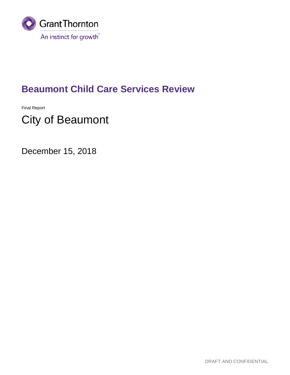

## **Beaumont Child Care Services Review**

Final Report

# City of Beaumont

December 15, 2018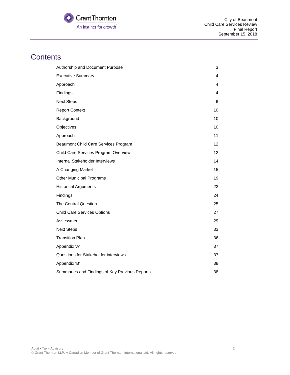

## **Contents**

| Authorship and Document Purpose                | 3  |
|------------------------------------------------|----|
| <b>Executive Summary</b>                       | 4  |
| Approach                                       | 4  |
| Findings                                       | 4  |
| <b>Next Steps</b>                              | 6  |
| <b>Report Context</b>                          | 10 |
| Background                                     | 10 |
| Objectives                                     | 10 |
| Approach                                       | 11 |
| Beaumont Child Care Services Program           | 12 |
| Child Care Services Program Overview           | 12 |
| Internal Stakeholder Interviews                | 14 |
| A Changing Market                              | 15 |
| <b>Other Municipal Programs</b>                | 19 |
| <b>Historical Arguments</b>                    | 22 |
| Findings                                       | 24 |
| The Central Question                           | 25 |
| <b>Child Care Services Options</b>             | 27 |
| Assessment                                     | 29 |
| <b>Next Steps</b>                              | 33 |
| <b>Transition Plan</b>                         | 36 |
| Appendix 'A'                                   | 37 |
| Questions for Stakeholder interviews           | 37 |
| Appendix 'B'                                   | 38 |
| Summaries and Findings of Key Previous Reports | 38 |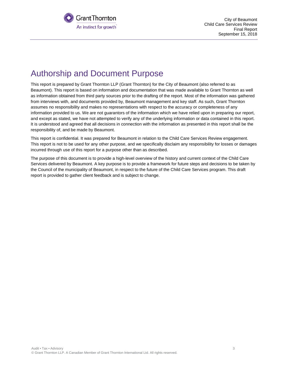

City of Beaumont Child Care Services Review Final Report September 15, 2018

## <span id="page-2-0"></span>Authorship and Document Purpose

This report is prepared by Grant Thornton LLP (Grant Thornton) for the City of Beaumont (also referred to as Beaumont). This report is based on information and documentation that was made available to Grant Thornton as well as information obtained from third party sources prior to the drafting of the report. Most of the information was gathered from interviews with, and documents provided by, Beaumont management and key staff. As such, Grant Thornton assumes no responsibility and makes no representations with respect to the accuracy or completeness of any information provided to us. We are not guarantors of the information which we have relied upon in preparing our report, and except as stated, we have not attempted to verify any of the underlying information or data contained in this report. It is understood and agreed that all decisions in connection with the information as presented in this report shall be the responsibility of, and be made by Beaumont.

This report is confidential. It was prepared for Beaumont in relation to the Child Care Services Review engagement. This report is not to be used for any other purpose, and we specifically disclaim any responsibility for losses or damages incurred through use of this report for a purpose other than as described.

The purpose of this document is to provide a high-level overview of the history and current context of the Child Care Services delivered by Beaumont. A key purpose is to provide a framework for future steps and decisions to be taken by the Council of the municipality of Beaumont, in respect to the future of the Child Care Services program. This draft report is provided to gather client feedback and is subject to change.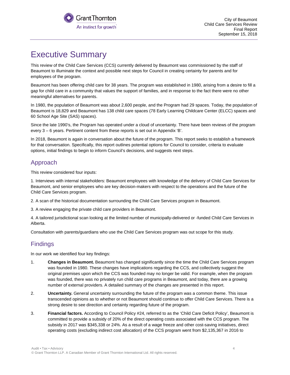

## <span id="page-3-0"></span>Executive Summary

This review of the Child Care Services (CCS) currently delivered by Beaumont was commissioned by the staff of Beaumont to illuminate the context and possible next steps for Council in creating certainty for parents and for employees of the program.

Beaumont has been offering child care for 38 years. The program was established in 1980, arising from a desire to fill a gap for child care in a community that values the support of families, and in response to the fact there were no other meaningful alternatives for parents.

In 1980, the population of Beaumont was about 2,600 people, and the Program had 29 spaces. Today, the population of Beaumont is 18,829 and Beaumont has 138 child care spaces (78 Early Learning Childcare Center (ELCC) spaces and 60 School Age Site (SAS) spaces).

Since the late 1990's, the Program has operated under a cloud of uncertainty. There have been reviews of the program every 3 – 6 years. Pertinent content from these reports is set out in Appendix 'B'.

In 2018, Beaumont is again in conversation about the future of the program. This report seeks to establish a framework for that conversation. Specifically, this report outlines potential options for Council to consider, criteria to evaluate options, initial findings to begin to inform Council's decisions, and suggests next steps.

### <span id="page-3-1"></span>Approach

This review considered four inputs:

1. Interviews with internal stakeholders: Beaumont employees with knowledge of the delivery of Child Care Services for Beaumont, and senior employees who are key decision-makers with respect to the operations and the future of the Child Care Services program.

2. A scan of the historical documentation surrounding the Child Care Services program in Beaumont.

3. A review engaging the private child care providers in Beaumont.

4. A tailored jurisdictional scan looking at the limited number of municipally-delivered or -funded Child Care Services in Alberta.

Consultation with parents/guardians who use the Child Care Services program was out scope for this study.

### <span id="page-3-2"></span>**Findings**

In our work we identified four key findings:

- 1. **Changes in Beaumont.** Beaumont has changed significantly since the time the Child Care Services program was founded in 1980. These changes have implications regarding the CCS, and collectively suggest the original premises upon which the CCS was founded may no longer be valid. For example, when the program was founded, there was no privately run child care programs in Beaumont, and today, there are a growing number of external providers. A detailed summary of the changes are presented in this report.
- 2. **Uncertainty.** General uncertainty surrounding the future of the program was a common theme. This issue transcended opinions as to whether or not Beaumont should continue to offer Child Care Services. There is a strong desire to see direction and certainty regarding future of the program.
- 3. **Financial factors.** According to Council Policy #24, referred to as the 'Child Care Deficit Policy', Beaumont is committed to provide a subsidy of 20% of the direct operating costs associated with the CCS program. The subsidy in 2017 was \$345,338 or 24%. As a result of a wage freeze and other cost-saving initiatives, direct operating costs (excluding indirect cost allocation) of the CCS program went from \$2,135,367 in 2016 to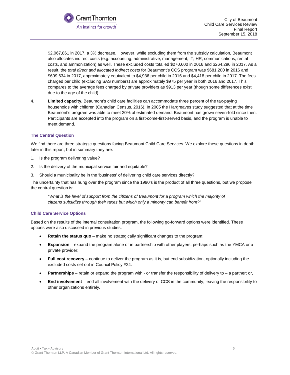

\$2,067,861 in 2017, a 3% decrease. However, while excluding them from the subsidy calculation, Beaumont also allocates indirect costs (e.g. accounting, administrative, management, IT, HR, communications, rental costs, and ammonization) as well. These excluded costs totalled \$270,600 in 2016 and \$264,296 in 2017. As a result, the *total direct and allocated indirect costs* for Beaumont's CCS program was \$681,200 in 2016 and \$609,634 in 2017, approximately equivalent to \$4,936 per child in 2016 and \$4,418 per child in 2017. The fees charged per child (excluding SAS numbers) are approximately \$975 per year in both 2016 and 2017. This compares to the average fees charged by private providers as \$913 per year (though some differences exist due to the age of the child).

4. **Limited capacity.** Beaumont's child care facilities can accommodate three percent of the tax-paying households with children (Canadian Census, 2016). In 2005 the Hargreaves study suggested that at the time Beaumont's program was able to meet 20% of estimated demand. Beaumont has grown seven-fold since then. Participants are accepted into the program on a first-come-first-served basis, and the program is unable to meet demand.

#### **The Central Question**

We find there are three strategic questions facing Beaumont Child Care Services. We explore these questions in depth later in this report, but in summary they are:

- 1. Is the program delivering value?
- 2. Is the delivery of the municipal service fair and equitable?
- 3. Should a municipality be in the 'business' of delivering child care services directly?

The uncertainty that has hung over the program since the 1990's is the product of all three questions, but we propose the central question is:

*"What is the level of support from the citizens of Beaumont for a program which the majority of citizens subsidize through their taxes but which only a minority can benefit from?"*

#### **Child Care Service Options**

Based on the results of the internal consultation program, the following go-forward options were identified. These options were also discussed in previous studies.

- **Retain the status quo** make no strategically significant changes to the program;
- **Expansion** expand the program alone or in partnership with other players, perhaps such as the YMCA or a private provider;
- **Full cost recovery** continue to deliver the program as it is, but end subsidization, optionally including the excluded costs set out in Council Policy #24.
- **Partnerships** retain or expand the program with or transfer the responsibility of delivery to a partner; or,
- **End involvement** end all involvement with the delivery of CCS in the community; leaving the responsibility to other organizations entirely.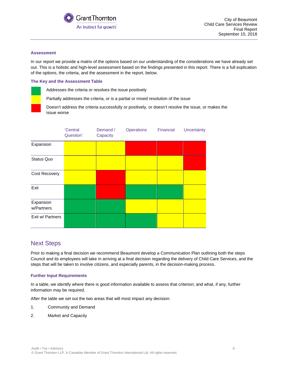

#### **Assessment**

In our report we provide a matrix of the options based on our understanding of the considerations we have already set out. This is a holistic and high-level assessment based on the findings presented in this report. There is a full explication of the options, the criteria, and the assessment in the report, below.

#### **The Key and the Assessment Table**

Addresses the criteria or resolves the issue positively

Partially addresses the criteria, or is a partial or mixed resolution of the issue

Doesn't address the criteria successfully or positively, or doesn't resolve the issue, or makes the issue worse

|                         | 'Central<br>Question' | Demand /<br>Capacity | <b>Operations</b> | Financial | Uncertainty |
|-------------------------|-----------------------|----------------------|-------------------|-----------|-------------|
| Expansion               |                       |                      |                   |           |             |
| Status Quo              |                       |                      |                   |           |             |
| Cost Recovery           |                       |                      |                   |           |             |
| Exit                    |                       |                      |                   |           |             |
| Expansion<br>w/Partners |                       |                      |                   |           |             |
| Exit w/ Partners        |                       |                      |                   |           |             |

### <span id="page-5-0"></span>Next Steps

Prior to making a final decision we recommend Beaumont develop a Communication Plan outlining both the steps Council and its employees will take in arriving at a final decision regarding the delivery of Child Care Services, and the steps that will be taken to involve citizens, and especially parents, in the decision-making process.

#### **Further Input Requirements**

In a table, we identify where there is good information available to assess that criterion; and what, if any, further information may be required.

After the table we set out the two areas that will most impact any decision:

- 1. Community and Demand
- 2. Market and Capacity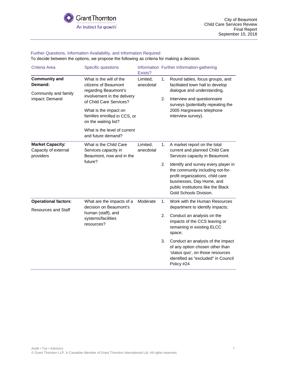#### Further Questions, Information Availability, and Information Required

To decide between the options, we propose the following as criteria for making a decision.

| Criteria Area                                                             | <b>Specific questions</b>                                                                                                                                                                                                                                                | Exists?               |          | Information Further Information-gathering                                                                                                                                                                                  |
|---------------------------------------------------------------------------|--------------------------------------------------------------------------------------------------------------------------------------------------------------------------------------------------------------------------------------------------------------------------|-----------------------|----------|----------------------------------------------------------------------------------------------------------------------------------------------------------------------------------------------------------------------------|
| <b>Community and</b><br>Demand:<br>Community and family<br>impact; Demand | What is the will of the<br>citizens of Beaumont<br>regarding Beaumont's<br>involvement in the delivery<br>of Child Care Services?<br>What is the impact on<br>families enrolled in CCS, or<br>on the waiting list?<br>What is the level of current<br>and future demand? | Limited;<br>anecdotal | 1.<br>2. | Round tables, focus groups, and<br>facilitated town hall to develop<br>dialogue and understanding.<br>Interview and questionnaire<br>surveys (potentially repeating the<br>2005 Hargreaves telephone<br>interview survey). |
| <b>Market Capacity:</b><br>Capacity of external<br>providers              | What is the Child Care<br>Services capacity in<br>Beaumont, now and in the                                                                                                                                                                                               | Limited;<br>anecdotal | 1.       | A market report on the total<br>current and planned Child Care<br>Services capacity in Beaumont.                                                                                                                           |
|                                                                           | future?                                                                                                                                                                                                                                                                  |                       | 2.       | Identify and survey every player in<br>the community including not-for-<br>profit organizations, child care<br>businesses, Day Home, and<br>public institutions like the Black<br>Gold Schools Division.                   |
| <b>Operational factors:</b>                                               | What are the impacts of a<br>decision on Beaumont's                                                                                                                                                                                                                      | Moderate              | 1.       | Work with the Human Resources<br>department to identify impacts;                                                                                                                                                           |
| <b>Resources and Staff</b>                                                | human (staff), and<br>systems/facilities<br>resources?                                                                                                                                                                                                                   |                       | 2.       | Conduct an analysis on the<br>impacts of the CCS leaving or<br>remaining in existing ELCC<br>space;                                                                                                                        |
|                                                                           |                                                                                                                                                                                                                                                                          |                       | 3.       | Conduct an analysis of the impact<br>of any option chosen other than<br>'status quo', on those resources<br>identified as "excluded" in Council<br>Policy #24                                                              |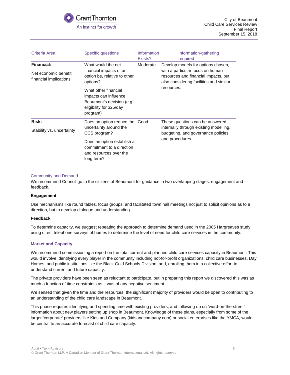

| Criteria Area                                                                                   | Specific questions                                                                                                 | Information<br>Exists? | Information-gathering<br>required                                                                                                                         |
|-------------------------------------------------------------------------------------------------|--------------------------------------------------------------------------------------------------------------------|------------------------|-----------------------------------------------------------------------------------------------------------------------------------------------------------|
| <b>Financial:</b><br>Net economic benefit:<br>financial implications                            | What would the net<br>financial impacts of an<br>option be, relative to other<br>options?                          | Moderate               | Develop models for options chosen,<br>with a particular focus on human<br>resources and financial impacts, but<br>also considering facilities and similar |
|                                                                                                 | What other financial<br>impacts can influence<br>Beaumont's decision (e.g.<br>eligibility for \$25/day<br>program) |                        | resources.                                                                                                                                                |
| Risk:<br>Stability vs. uncertainty                                                              | Does an option reduce the<br>uncertainty around the<br>CCS program?                                                | Good                   | These questions can be answered<br>internally through existing modelling,<br>budgeting, and governance policies                                           |
| Does an option establish a<br>commitment to a direction<br>and resources over the<br>long term? |                                                                                                                    |                        | and procedures.                                                                                                                                           |

#### Community and Demand

We recommend Council go to the citizens of Beaumont for guidance in two overlapping stages: engagement and feedback.

#### **Engagement**

Use mechanisms like round tables, focus groups, and facilitated town hall meetings not just to solicit opinions as to a direction, but to develop dialogue and understanding.

#### **Feedback**

To determine capacity, we suggest repeating the approach to determine demand used in the 2005 Hargreaves study, using direct telephone surveys of homes to determine the level of need for child care services in the community.

#### **Market and Capacity**

We recommend commissioning a report on the total current and planned child care services capacity in Beaumont. This would involve identifying every player in the community including not-for-profit organizations, child care businesses, Day Homes, and public institutions like the Black Gold Schools Division; and, enrolling them in a collective effort to understand current and future capacity.

The private providers have been seen as reluctant to participate, but in preparing this report we discovered this was as much a function of time constraints as it was of any negative sentiment.

We sensed that given the time and the resources, the significant majority of providers would be open to contributing to an understanding of the child care landscape in Beaumont.

This phase requires identifying and spending time with existing providers, and following up on 'word-on-the-street' information about new players setting up shop in Beaumont. Knowledge of these plans, especially from some of the larger 'corporate' providers like Kids and Company (kidsandcompany.com) or social enterprises like the YMCA, would be central to an accurate forecast of child care capacity.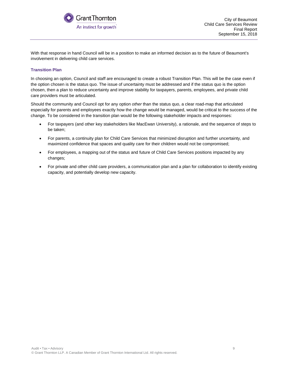

With that response in hand Council will be in a position to make an informed decision as to the future of Beaumont's involvement in delivering child care services.

#### **Transition Plan**

In choosing an option, Council and staff are encouraged to create a robust Transition Plan. This will be the case even if the option chosen is the status quo. The issue of uncertainty must be addressed and if the status quo is the option chosen, then a plan to reduce uncertainty and improve stability for taxpayers, parents, employees, and private child care providers must be articulated.

Should the community and Council opt for any option *other* than the status quo, a clear road-map that articulated especially for parents and employees exactly how the change would be managed, would be critical to the success of the change. To be considered in the transition plan would be the following stakeholder impacts and responses:

- For taxpayers (and other key stakeholders like MacEwan University), a rationale, and the sequence of steps to be taken;
- For parents, a continuity plan for Child Care Services that minimized disruption and further uncertainty, and maximized confidence that spaces and quality care for their children would not be compromised;
- For employees, a mapping out of the status and future of Child Care Services positions impacted by any changes;
- For private and other child care providers, a communication plan and a plan for collaboration to identify existing capacity, and potentially develop new capacity.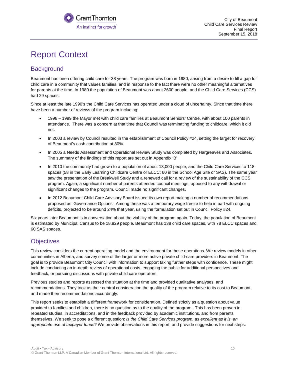

## <span id="page-9-0"></span>Report Context

### <span id="page-9-1"></span>**Background**

Beaumont has been offering child care for 38 years. The program was born in 1980, arising from a desire to fill a gap for child care in a community that values families, and in response to the fact there were no other meaningful alternatives for parents at the time. In 1980 the population of Beaumont was about 2600 people, and the Child Care Services (CCS) had 29 spaces.

Since at least the late 1990's the Child Care Services has operated under a cloud of uncertainty. Since that time there have been a number of reviews of the program including:

- 1998 1999 the Mayor met with child care families at Beaumont Seniors' Centre, with about 100 parents in attendance. There was a concern at that time that Council was terminating funding to childcare, which it did not.
- In 2003 a review by Council resulted in the establishment of Council Policy #24, setting the target for recovery of Beaumont's cash contribution at 80%.
- In 2005 a Needs Assessment and Operational Review Study was completed by Hargreaves and Associates. The summary of the findings of this report are set out in Appendix 'B'
- In 2010 the community had grown to a population of about 13,000 people, and the Child Care Services to 118 spaces (58 in the Early Learning Childcare Centre or ELCC; 60 in the School Age Site or SAS). The same year saw the presentation of the Breakwell Study and a renewed call for a review of the sustainability of the CCS program. Again, a significant number of parents attended council meetings, opposed to any withdrawal or significant changes to the program. Council made no significant changes.
- In 2012 Beaumont Child Care Advisory Board issued its own report making a number of recommendations proposed as 'Governance Options'. Among these was a temporary wage freeze to help in part with ongoing deficits, projected to be around 24% that year, using the formulation set out in Council Policy #24.

Six years later Beaumont is in conversation about the viability of the program again. Today, the population of Beaumont is estimated by Municipal Census to be 18,829 people. Beaumont has 138 child care spaces, with 78 ELCC spaces and 60 SAS spaces.

### <span id="page-9-2"></span>**Objectives**

This review considers the current operating model and the environment for those operations. We review models in other communities in Alberta, and survey some of the larger or more active private child-care providers in Beaumont. The goal is to provide Beaumont City Council with information to support taking further steps with confidence. These might include conducting an in-depth review of operational costs, engaging the public for additional perspectives and feedback, or pursuing discussions with private child care operators.

Previous studies and reports assessed the situation at the time and provided qualitative analyses, and recommendations. They took as their central consideration the quality of the program relative to its cost to Beaumont, and made their recommendations accordingly.

This report seeks to establish a different framework for consideration. Defined strictly as a question about value provided to families and children, there is no question as to the quality of the program. This has been proven in repeated studies, in accreditations, and in the feedback provided by academic institutions, and from parents themselves. We seek to pose a different question: *is the Child Care Services program, as excellent as it is, an appropriate use of taxpayer funds*? We provide observations in this report, and provide suggestions for next steps.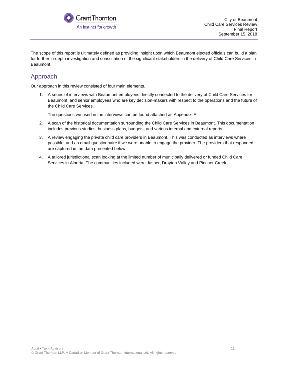

The scope of this report is ultimately defined as providing insight upon which Beaumont elected officials can build a plan for further in-depth investigation and consultation of the significant stakeholders in the delivery of Child Care Services in Beaumont.

### <span id="page-10-0"></span>Approach

Our approach in this review consisted of four main elements.

1. A series of interviews with Beaumont employees directly connected to the delivery of Child Care Services for Beaumont, and senior employees who are key decision-makers with respect to the operations and the future of the Child Care Services.

The questions we used in the interviews can be found attached as Appendix 'A'.

- 2. A scan of the historical documentation surrounding the Child Care Services in Beaumont. This documentation includes previous studies, business plans, budgets, and various internal and external reports.
- 3. A review engaging the private child care providers in Beaumont. This was conducted as interviews where possible, and an email questionnaire if we were unable to engage the provider. The providers that responded are captured in the data presented below.
- 4. A tailored jurisdictional scan looking at the limited number of municipally delivered or funded Child Care Services in Alberta. The communities included were Jasper, Drayton Valley and Pincher Creek.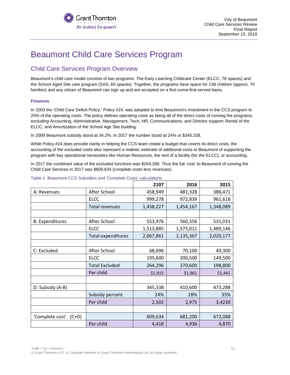

## <span id="page-11-0"></span>Beaumont Child Care Services Program

### <span id="page-11-1"></span>Child Care Services Program Overview

Beaumont's child care model consists of two programs: The Early Learning Childcare Center (ELCC, 78 spaces) and the School Aged Site care program (SAS, 60 spaces). Together, the programs have space for 138 children (approx. 70 families) and any citizen of Beaumont can sign up and are accepted on a first-come-first-served basis.

#### **Finances**

In 2003 the 'Child Care Deficit Policy,' Policy #24, was adopted to limit Beaumont's investment in the CCS program to 20% of the operating costs. The policy defines operating costs as being all of the direct costs of running the programs, *excluding* Accounting, Administrative, Management, Tech, HR, Communications, and Director support; Rental of the ELCC; and Amortization of the School Age Site building.

In 2009 Beaumont subsidy stood at 34.2%. In 2017 the number stood at 24% or \$345,338.

While Policy #24 does provide clarity in helping the CCS team create a budget that covers its direct costs, the accounting of the excluded costs also represent a realistic estimate of additional costs to Beaumont of supporting the program with key operational necessities like Human Resources, the rent of a facility (for the ELCC), or accounting.

In 2017 the combined value of the excluded functions was \$264,296. Thus the full 'cost' to Beaumont of running the Child Care Services in 2017 was \$609,634 (*complete* costs less revenues).

|                            |                           | 2107      | 2016      | 2015      |
|----------------------------|---------------------------|-----------|-----------|-----------|
| A: Revenues                | After School              |           | 481,328   | 386,471   |
|                            | <b>ELCC</b>               | 999,278   | 972,839   | 961,618   |
|                            | Total revenues            | 1,458,227 | 1,454,167 | 1,348,089 |
|                            |                           |           |           |           |
| <b>B: Expenditures</b>     | After School              | 553,976   | 560,356   | 531,031   |
|                            | <b>ELCC</b>               | 1,513,885 | 1,575,011 | 1,489,146 |
|                            | <b>Total expenditures</b> | 2,067,861 | 2,135,367 | 2,020,177 |
|                            |                           |           |           |           |
| C: Excluded                | After School              | 68,696    | 70,100    | 49,300    |
|                            | <b>ELCC</b>               | 195,600   | 200,500   | 149,500   |
|                            | <b>Total Excluded</b>     | 264,296   | 270,600   | 198,800   |
|                            | Per child                 | \$1,915   | \$1,961   | \$1,441   |
|                            |                           |           |           |           |
| D: Subsidy (A-B)           |                           | 345,338   | 410,600   | 473,288   |
|                            | Subsidy percent           | 24%       | 28%       | 35%       |
|                            | Per child                 | 2,502     | 2,975     | 3,4230    |
|                            |                           |           |           |           |
| 'Complete cost'<br>$(C+D)$ |                           | 609,634   | 681,200   | 672,088   |
|                            | Per child                 | 4,418     | 4,936     | 4,870     |

#### Table 1: Beaumont CCS Subsidies and 'Complete Costs' calculations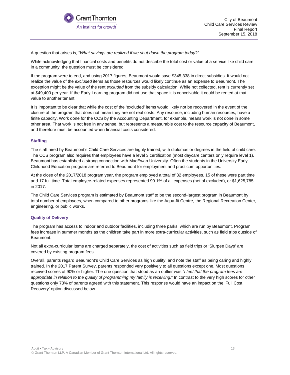

City of Beaumont Child Care Services Review Final Report September 15, 2018

A question that arises is, "*What savings are realized if we shut down the program today*?"

While acknowledging that financial costs and benefits do not describe the total cost or value of a service like child care in a community, the question must be considered.

If the program were to end, and using 2017 figures, Beaumont would save \$345,338 in direct subsidies. It would not realize the value of the *excluded* items as those resources would likely continue as an expense to Beaumont. The exception might be the value of the rent *excluded* from the subsidy calculation. While not collected, rent is currently set at \$49,400 per year. If the Early Learning program did not use that space it is conceivable it could be rented at that value to another tenant.

It is important to be clear that while the cost of the 'excluded' items would likely not be recovered in the event of the closure of the program that does not mean they are not real costs. Any resource, including human resources, have a finite capacity. Work done for the CCS by the Accounting Department, for example, means work is not done in some other area. That work is not free in any sense, but represents a measurable cost to the resource capacity of Beaumont, and therefore must be accounted when financial costs considered.

#### **Staffing**

The staff hired by Beaumont's Child Care Services are highly trained, with diplomas or degrees in the field of child care. The CCS program also requires that employees have a level 3 certification (most daycare centers only require level 1). Beaumont has established a strong connection with MacEwan University. Often the students in the University Early Childhood Education program are referred to Beaumont for employment and practicum opportunities.

At the close of the 2017/2018 program year, the program employed a total of 32 employees. 15 of these were part time and 17 full time. Total employee-related expenses represented 90.1% of all expenses (net of excluded), or \$1,625,785 in 2017.

The Child Care Services program is estimated by Beaumont staff to be the second-largest program in Beaumont by total number of employees, when compared to other programs like the Aqua-fit Centre, the Regional Recreation Center, engineering, or public works.

#### **Quality of Delivery**

The program has access to indoor and outdoor facilities, including three parks, which are run by Beaumont. Program fees increase in summer months as the children take part in more extra-curricular activities, such as field trips outside of Beaumont.

Not all extra-curricular items are charged separately, the cost of activities such as field trips or 'Slurpee Days' are covered by existing program fees.

Overall, parents regard Beaumont's Child Care Services as high quality, and note the staff as being caring and highly trained. In the 2017 Parent Survey, parents responded very positively to all questions except one. Most questions received scores of 90% or higher. The one question that stood as an outlier was "*I feel that the program fees are*  appropriate in relation to the quality of programming my family is receiving." In contrast to the very high scores for other questions only 73% of parents agreed with this statement. This response would have an impact on the 'Full Cost Recovery' option discussed below.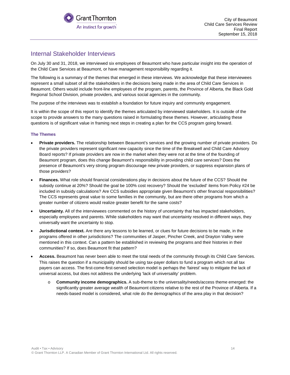

### <span id="page-13-0"></span>Internal Stakeholder Interviews

On July 30 and 31, 2018, we interviewed six employees of Beaumont who have particular insight into the operation of the Child Care Services at Beaumont, or have management responsibility regarding it.

The following is a summary of the themes that emerged in these interviews. We acknowledge that these interviewees represent a small subset of all the stakeholders in the decisions being made in the area of Child Care Services in Beaumont. Others would include front-line employees of the program, parents, the Province of Alberta, the Black Gold Regional School Division, private providers, and various social agencies in the community.

The purpose of the interviews was to establish a foundation for future inquiry and community engagement.

It is within the scope of this report to identify the themes articulated by interviewed stakeholders. It is outside of the scope to provide answers to the many questions raised in formulating these themes. However, articulating these questions is of significant value in framing next steps in creating a plan for the CCS program going forward.

#### **The Themes**

- **Private providers.** The relationship between Beaumont's services and the growing number of private providers. Do the private providers represent significant new capacity since the time of the Breakwell and Child Care Advisory Board reports? If private providers are now in the market when they were not at the time of the founding of Beaumont program, does this change Beaumont's responsibility in providing child care services? Does the presence of Beaumont's very strong program discourage new private providers, or suppress expansion plans of those providers?
- **Finances.** What role should financial considerations play in decisions about the future of the CCS? Should the subsidy continue at 20%? Should the goal be 100% cost recovery? Should the 'excluded' items from Policy #24 be included in subsidy calculations? Are CCS subsidies appropriate given Beaumont's other financial responsibilities? The CCS represents great value to some families in the community, but are there other programs from which a greater number of citizens would realize greater benefit for the same costs?
- **Uncertainty.** All of the interviewees commented on the history of uncertainty that has impacted stakeholders, especially employees and parents. While stakeholders may want that uncertainty resolved in different ways, they universally want the uncertainty to stop.
- **Jurisdictional context.** Are there any lessons to be learned, or clues for future decisions to be made, in the programs offered in other jurisdictions? The communities of Jasper, Pincher Creek, and Drayton Valley were mentioned in this context. Can a pattern be established in reviewing the programs and their histories in their communities? If so, does Beaumont fit that pattern?
- **Access.** Beaumont has never been able to meet the total needs of the community through its Child Care Services. This raises the question if a municipality should be using tax-payer dollars to fund a program which not all tax payers can access. The first-come-first-served selection model is perhaps the 'fairest' way to mitigate the lack of universal access, but does not address the underlying 'lack of universality' problem.
	- o **Community income demographics.** A sub-theme to the universality/needs/access theme emerged: the significantly greater average wealth of Beaumont citizens relative to the rest of the Province of Alberta. If a needs-based model is considered, what role do the demographics of the area play in that decision?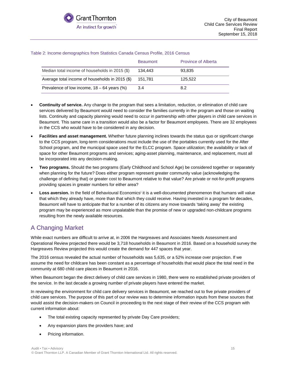|                                                 | <b>Beaumont</b> | <b>Province of Alberta</b> |
|-------------------------------------------------|-----------------|----------------------------|
| Median total income of households in 2015 (\$)  | 134.443         | 93,835                     |
| Average total income of households in 2015 (\$) | 151.781         | 125.522                    |
| Prevalence of low income, $18 - 64$ years (%)   | 3.4             | 8.2                        |

#### Table 2: Income demographics from Statistics Canada Census Profile, 2016 Census

- Continuity of service. Any change to the program that sees a limitation, reduction, or elimination of child care services delivered by Beaumont would need to consider the families currently in the program and those on waiting lists. Continuity and capacity planning would need to occur in partnership with other players in child care services in Beaumont. This same care in a transition would also be a factor for Beaumont employees. There are 32 employees in the CCS who would have to be considered in any decision.
- **Facilities and asset management.** Whether future planning inclines towards the status quo or significant change to the CCS program, long-term considerations must include the use of the portables currently used for the After School program, and the municipal space used for the ELCC program. Space utilization; the availability or lack of space for other Beaumont programs and services; aging-asset planning, maintenance, and replacement, must all be incorporated into any decision-making.
- **Two programs.** Should the two programs (Early Childhood and School Age) be considered together or separately when planning for the future? Does either program represent greater community value (acknowledging the challenge of defining that) or greater cost to Beaumont relative to that value? Are private or not-for-profit programs providing spaces in greater numbers for either area?
- Loss avers[i](#page-49-0)on. In the field of Behavioural Economics<sup>i</sup> it is a well-documented phenomenon that humans will value that which they already have, more than that which they could receive. Having invested in a program for decades, Beaumont will have to anticipate that for a number of its citizens any move towards 'taking away' the existing program may be experienced as more unpalatable than the promise of new or upgraded non-childcare programs resulting from the newly available resources.

### <span id="page-14-0"></span>A Changing Market

While exact numbers are difficult to arrive at, in 2006 the Hargreaves and Associates Needs Assessment and Operational Review projected there would be 3,718 households in Beaumont in 2016. Based on a household survey the Hargreaves Review projected this would create the demand for 447 spaces that year.

The 2016 census revealed the actual number of households was 5,635, or a 52% increase over projection. If we assume the need for childcare has been constant as a percentage of households that would place the total need in the community at 680 child care places in Beaumont in 2016.

When Beaumont began the direct delivery of child care services in 1980, there were no established private providers of the service. In the last decade a growing number of private players have entered the market.

In reviewing the environment for child care delivery services in Beaumont, we reached out to five private providers of child care services. The purpose of this part of our review was to determine information inputs from these sources that would assist the decision-makers on Council in proceeding to the next stage of their review of the CCS program with current information about:

- The total existing capacity represented by private Day Care providers;
- Any expansion plans the providers have; and
- Pricing information.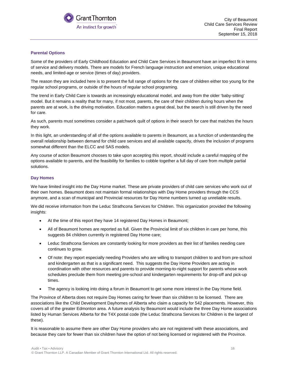

#### **Parental Options**

Some of the providers of Early Childhood Education and Child Care Services in Beaumont have an imperfect fit in terms of service and delivery models. There are models for French language instruction and emersion, unique educational needs, and limited-age or service (times of day) providers.

The reason they are included here is to present the full range of options for the care of children either too young for the regular school programs, or outside of the hours of regular school programing.

The trend in Early Child Care is towards an increasingly educational model, and away from the older 'baby-sitting' model. But it remains a reality that for many, if not most, parents, the care of their children during hours when the parents are at work, is the driving motivation. Education matters a great deal, but the search is still driven by the need for care.

As such, parents must sometimes consider a patchwork quilt of options in their search for care that matches the hours they work.

In this light, an understanding of all of the options available to parents in Beaumont, as a function of understanding the overall relationship between demand for child care services and all available capacity, drives the inclusion of programs somewhat different than the ELCC and SAS models.

Any course of action Beaumont chooses to take upon accepting this report, should include a careful mapping of the options available to parents, and the feasibility for families to cobble together a full day of care from multiple partial solutions.

#### **Day Homes**

We have limited insight into the Day Home market. These are private providers of child care services who work out of their own homes. Beaumont does not maintain formal relationships with Day Home providers through the CCS anymore, and a scan of municipal and Provincial resources for Day Home numbers turned up unreliable results.

We did receive information from the Leduc Strathcona Services for Children. This organization provided the following insights:

- At the time of this report they have 14 registered Day Homes in Beaumont;
- All of Beaumont homes are reported as full. Given the Provincial limit of six children in care per home, this suggests 84 children currently in registered Day Home care;
- Leduc Strathcona Services are constantly looking for more providers as their list of families needing care continues to grow.
- Of note: they report especially needing Providers who are willing to transport children to and from pre-school and kindergarten as that is a significant need. This suggests the Day Home Providers are acting in coordination with other resources and parents to provide morning-to-night support for parents whose work schedules preclude them from meeting pre-school and kindergarten requirements for drop-off and pick-up times.
- The agency is looking into doing a forum in Beaumont to get some more interest in the Day Home field.

The Province of Alberta does not require Day Homes caring for fewer than six children to be licensed. There are associations like the Child Development Dayhomes of Alberta who claim a capacity for 542 placements. However, this covers all of the greater Edmonton area. A future analysis by Beaumont would include the three Day Home associations listed by Human Services Alberta for the T4X postal code (the Leduc Strathcona Services for Children is the largest of these).

It is reasonable to assume there are other Day Home providers who are not registered with these associations, and because they care for fewer than six children have the option of not being licensed or registered with the Province.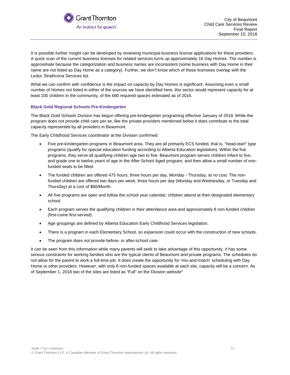

It is possible further insight can be developed by reviewing municipal business license applications for these providers. A quick scan of the current business licenses for related services turns up approximately 16 Day Homes. The number is approximate because the categorization and business names are inconsistent (some business with Day Home in their name are not listed as Day Home as a category). Further, we don't know which of these licensees overlap with the Leduc Strathcona Services list.

What we can confirm with confidence is the impact on capacity by Day Homes is significant. Assuming even a small number of Homes not listed in either of the sources we have identified here, this sector would represent capacity for at least 100 children in the community, of the 680 required spaces estimated as of 2016.

#### **Black Gold Regional Schools Pre-Kindergarten**

The Black Gold Schools Division has begun offering pre-kindergarten programing effective January of 2018. While the program does not provide child care per se, like the private providers mentioned below it does contribute to the total capacity represented by all providers in Beaumont.

The Early Childhood Services coordinator at the Division confirmed:

- Five pre-kindergarten programs in Beaumont area. They are all primarily ECS funded, that is, "head-start" type programs (qualify for special education funding according to Alberta Education legislation). Within the five programs, they serve all qualifying children age two to five. Beaumont program serves children Infant to five, and grade one to twelve years of age in the After School Aged program, and then allow a small number of nonfunded seats to be filled.
- The funded children are offered 475 hours, three hours per day, Monday Thursday, at no cost. The nonfunded children are offered two days per week, three hours per day (Monday and Wednesday, or Tuesday and Thursday) at a cost of \$80/Month.
- All five programs are open and follow the school year calendar; children attend at their designated elementary school.
- Each program serves the qualifying children in their attendance area and approximately 8 non-funded children (first-come first-served).
- Age groupings are defined by Alberta Education Early Childhood Services legislation.
- There is a program in each Elementary School, so expansion could occur with the construction of new schools.
- The program does not provide before- or after-school care.

It can be seen from this information while many parents will seek to take advantage of this opportunity, it has some serious constraints for working families who are the typical clients of Beaumont and private programs. The schedules do not allow for the parent to work a full-time job. It does create the opportunity for 'mix-and-match' scheduling with Day Home or other providers. However, with only 8 non-funded spaces available at each site, capacity will be a concern. As of September 1, 2018 two of the sites are listed as "Full" on the Division website<sup>[ii](#page-49-1)</sup>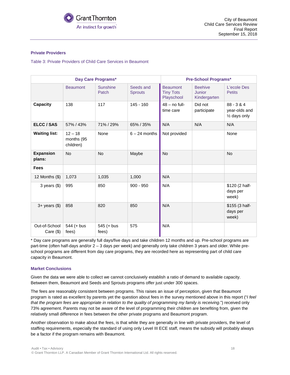

#### **Private Providers**

Table 3: Private Providers of Child Care Services in Beaumont

| Day Care Programs*           |                                      |                          |                             |                                                   | <b>Pre-School Programs*</b>              |                                                |
|------------------------------|--------------------------------------|--------------------------|-----------------------------|---------------------------------------------------|------------------------------------------|------------------------------------------------|
|                              | <b>Beaumont</b>                      | <b>Sunshine</b><br>Patch | Seeds and<br><b>Sprouts</b> | <b>Beaumont</b><br><b>Tiny Tots</b><br>Playschool | <b>Beehive</b><br>Junior<br>Kindergarten | L'ecole Des<br><b>Petits</b>                   |
| Capacity                     | 138                                  | 117                      | $145 - 160$                 | $48 - no full-$<br>time care                      | Did not<br>participate                   | $88 - 3 & 4$<br>year-olds and<br>1/2 days only |
| ELCC / SAS                   | 57% / 43%                            | 71% / 29%                | 65% / 35%                   | N/A                                               | N/A                                      | N/A                                            |
| <b>Waiting list:</b>         | $12 - 18$<br>months (95<br>children) | None                     | $6 - 24$ months             | Not provided                                      |                                          | None                                           |
| <b>Expansion</b><br>plans:   | <b>No</b>                            | <b>No</b>                | Maybe                       | <b>No</b>                                         |                                          | <b>No</b>                                      |
| <b>Fees</b>                  |                                      |                          |                             |                                                   |                                          |                                                |
| 12 Months $(\$)$             | 1,073                                | 1,035                    | 1,000                       | N/A                                               |                                          |                                                |
| $3$ years $(\$)$             | 995                                  | 850                      | $900 - 950$                 | N/A                                               |                                          | \$120 (2 half-<br>days per<br>week)            |
| $3+$ years $(\$)$            | 858                                  | 820                      | 850                         | N/A                                               |                                          | \$155 (3 half-<br>days per<br>week)            |
| Out-of-School<br>Care $(\$)$ | 544 (+ bus<br>fees)                  | $545 (+ bus$<br>fees)    | 575                         | N/A                                               |                                          |                                                |

\* Day care programs are generally full days/five days and take children 12 months and up. Pre-school programs are part-time (often half-days and/or 2 – 3 days per week) and generally only take children 3 years and older. While preschool programs are different from day care programs, they are recorded here as representing part of child care capacity in Beaumont.

#### **Market Conclusions**

Given the data we were able to collect we cannot conclusively establish a ratio of demand to available capacity. Between them, Beaumont and Seeds and Sprouts programs offer just under 300 spaces.

The fees are reasonably consistent between programs. This raises an issue of perception, given that Beaumont program is rated as excellent by parents yet the question about fees in the survey mentioned above in this report ("*I feel*  that the program fees are appropriate in relation to the quality of programming my family is receiving.") received only 73% agreement. Parents may not be aware of the level of programming their children are benefiting from, given the relatively small difference in fees between the other private programs and Beaumont program.

Another observation to make about the fees, is that while they are generally in line with private providers, the level of staffing requirements, especially the standard of using only Level III ECE staff, means the subsidy will probably always be a factor if the program remains with Beaumont.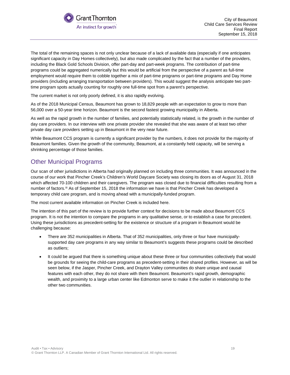

The total of the remaining spaces is not only unclear because of a lack of available data (especially if one anticipates significant capacity in Day Homes collectively), but also made complicated by the fact that a number of the providers, including the Black Gold Schools Division, offer part-day and part-week programs. The contribution of part-time programs could be aggregated numerically but this would be artificial from the perspective of a parent as full-time employment would require them to cobble together a mix of part-time programs or part-time programs and Day Home providers (including arranging transportation between providers). This would suggest the analysis anticipate two parttime program spots actually counting for roughly one full-time spot from a parent's perspective.

The current market is not only poorly defined, it is also rapidly evolving.

As of the 2018 Municipal Census, Beaumont has grown to 18,829 people with an expectation to grow to more than 56,000 over a 50-year time horizon. Beaumont is the second fastest growing municipality in Alberta.

As well as the rapid growth in the number of families, and potentially statistically related, is the growth in the number of day care providers. In our interview with one private provider she revealed that she was aware of at least two other private day care providers setting up in Beaumont in the very near future.

While Beaumont CCS program is currently a significant provider by the numbers, it does not provide for the majority of Beaumont families. Given the growth of the community, Beaumont, at a constantly held capacity, will be serving a shrinking percentage of those families.

### <span id="page-18-0"></span>Other Municipal Programs

Our scan of other jurisdictions in Alberta had originally planned on including three communities. It was announced in the course of our work that Pincher Creek's Children's World Daycare Society was closing its doors as of August 31, 2018 which affected 70-100 children and their caregivers. The program was closed due to financial difficulties resulting from a number of factors.<sup>[iii](#page-49-2)</sup> As of September 15, 2018 the information we have is that Pincher Creek has developed a temporary child care program, and is moving ahead with a municipally-funded program.

The most current available information on Pincher Creek is included here.

The intention of this part of the review is to provide further context for decisions to be made about Beaumont CCS program. It is not the intention to compare the programs in any qualitative sense, or to establish a case for precedent. Using these jurisdictions as precedent-setting for the existence or structure of a program in Beaumont would be challenging because:

- There are 352 municipalities in Alberta. That of 352 municipalities, only three or four have municipallysupported day care programs in any way similar to Beaumont's suggests these programs could be described as outliers;
- It could be argued that there is something unique about these three or four communities collectively that would be grounds for seeing the child-care programs as precedent-setting in their shared profiles. However, as will be seen below, if the Jasper, Pincher Creek, and Drayton Valley communities do share unique and causal features with each other, they do not share with them Beaumont. Beaumont's rapid growth, demographic wealth, and proximity to a large urban center like Edmonton serve to make it the outlier in relationship to the other two communities.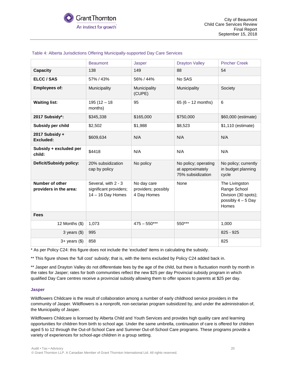|                                           | <b>Beaumont</b>                                                      | Jasper                                            | <b>Drayton Valley</b>                                         | <b>Pincher Creek</b>                                                                  |
|-------------------------------------------|----------------------------------------------------------------------|---------------------------------------------------|---------------------------------------------------------------|---------------------------------------------------------------------------------------|
| <b>Capacity</b>                           | 138                                                                  | 149                                               | 88                                                            | 54                                                                                    |
| ELCC / SAS                                | 57% / 43%                                                            | 56% / 44%                                         | No SAS                                                        |                                                                                       |
| <b>Employees of:</b>                      | Municipality                                                         | Municipality<br>(CUPE)                            | Municipality                                                  | Society                                                                               |
| <b>Waiting list:</b>                      | $195(12 - 18)$<br>months)                                            | 95                                                | 65 $(6 - 12$ months)                                          | 6                                                                                     |
| 2017 Subsidy*:                            | \$345,338                                                            | \$165,000                                         | \$750,000                                                     | \$60,000 (estimate)                                                                   |
| Subsidy per child                         | \$2,502                                                              | \$1,988                                           | \$8,523                                                       | \$1,110 (estimate)                                                                    |
| 2017 Subsidy +<br>Excluded:               | \$609,634                                                            | N/A                                               | N/A                                                           | N/A                                                                                   |
| Subsidy + excluded per<br>child:          | \$4418                                                               | N/A                                               | N/A                                                           | N/A                                                                                   |
| Deficit/Subsidy policy:                   | 20% subsidization<br>cap by policy                                   | No policy                                         | No policy; operating<br>at approximately<br>75% subsidization | No policy; currently<br>in budget planning<br>cycle                                   |
| Number of other<br>providers in the area: | Several, with 2 - 3<br>significant providers;<br>$14 - 16$ Day Homes | No day care<br>providers; possibly<br>4 Day Homes | None                                                          | The Livingston<br>Range School<br>Division (30 spots);<br>possibly $4-5$ Day<br>Homes |
| <b>Fees</b>                               |                                                                      |                                                   |                                                               |                                                                                       |
| 12 Months $(\$)$                          | 1,073                                                                | $475 - 550***$                                    | 550***                                                        | 1,000                                                                                 |
| $3$ years $(\$)$                          | 995                                                                  |                                                   |                                                               | $825 - 925$                                                                           |
| $3+$ years $(\$)$                         | 858                                                                  |                                                   |                                                               | 825                                                                                   |

#### Table 4: Alberta Jurisdictions Offering Municipally-supported Day Care Services

\* As per Policy C24: this figure does not include the 'excluded' items in calculating the subsidy.

\*\* This figure shows the 'full cost' subsidy; that is, with the items excluded by Policy C24 added back in.

\*\* Jasper and Drayton Valley do not differentiate fees by the age of the child, but there is fluctuation month by month in the rates for Jasper; rates for both communities reflect the new \$25 per day Provincial subsidy program in which qualified Day Care centres receive a provincial subsidy allowing them to offer spaces to parents at \$25 per day.

#### **Jasper**

Wildflowers Childcare is the result of collaboration among a number of early childhood service providers in the community of Jasper. Wildflowers is a nonprofit, non-sectarian program subsidized by, and under the administration of, the Municipality of Jasper.

Wildflowers Childcare is licensed by Alberta Child and Youth Services and provides high quality care and learning opportunities for children from birth to school age. Under the same umbrella, continuation of care is offered for children aged 5 to 12 through the Out-of-School Care and Summer Out-of-School Care programs. These programs provide a variety of experiences for school-age children in a group setting.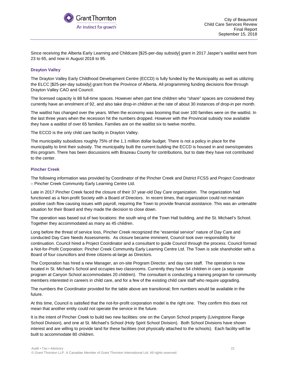

Since receiving the Alberta Early Learning and Childcare [\$25-per-day subsidy] grant in 2017 Jasper's waitlist went from 23 to 65, and now in August 2018 to 95.

#### **Drayton Valley**

The Drayton Valley Early Childhood Development Centre (ECCD) is fully funded by the Municipality as well as utilizing the ELCC [\$25-per-day subsidy] grant from the Province of Alberta. All programming funding decisions flow through Drayton Valley CAO and Council.

The licensed capacity is 88 full-time spaces. However when part time children who "share" spaces are considered they currently have an enrolment of 92, and also take drop-in children at the rate of about 30 instances of drop-in per month.

The waitlist has changed over the years. When the economy was booming that over 100 families were on the waitlist. In the last three years when the recession hit the numbers dropped. However with the Provincial subsidy now available they have a waitlist of over 65 families. Families are on the waitlist six to twelve months.

The ECCD is the only child care facility in Drayton Valley.

The municipality subsidizes roughly 75% of the 1.1 million dollar budget. There is not a policy in place for the municipality to limit their subsidy. The municipality built the current building the ECCD is housed in and owns/operates this program. There has been discussions with Brazeau County for contributions, but to date they have not contributed to the center.

#### **Pincher Creek**

The following information was provided by Coordinator of the Pincher Creek and District FCSS and Project Coordinator – Pincher Creek Community Early Learning Centre Ltd.

Late in 2017 Pincher Creek faced the closure of their 37 year-old Day Care organization. The organization had functioned as a Non-profit Society with a Board of Directors. In recent times, that organization could not maintain positive cash flow causing issues with payroll, requiring the Town to provide financial assistance. This was an untenable situation for their Board and they made the decision to close down.

The operation was based out of two locations: the south wing of the Town Hall building, and the St. Michael's School. Together they accommodated as many as 45 children.

Long before the threat of service loss, Pincher Creek recognized the "essential service" nature of Day Care and conducted Day Care Needs Assessments. As closure became imminent, Council took over responsibility for continuation. Council hired a Project Coordinator and a consultant to guide Council through the process. Council formed a Not-for-Profit Corporation: Pincher Creek Community Early Learning Centre Ltd. The Town is sole shareholder with a Board of four councillors and three citizens-at-large as Directors.

The Corporation has hired a new Manager, an on-site Program Director, and day care staff. The operation is now located in St. Michael's School and occupies two classrooms. Currently they have 54 children in care (a separate program at Canyon School accommodates 20 children). The consultant is conducting a training program for community members interested in careers in child care, and for a few of the existing child care staff who require upgrading.

The numbers the Coordinator provided for the table above are transitional; firm numbers would be available in the future.

At this time, Council is satisfied that the not-for-profit corporation model is the right one. They confirm this does not mean that another entity could not operate the service in the future.

It is the intent of Pincher Creek to build two new facilities: one on the Canyon School property (Livingstone Range School Division), and one at St. Michael's School (Holy Spirit School Division). Both School Divisions have shown interest and are willing to provide land for these facilities (not physically attached to the schools). Each facility will be built to accommodate 80 children.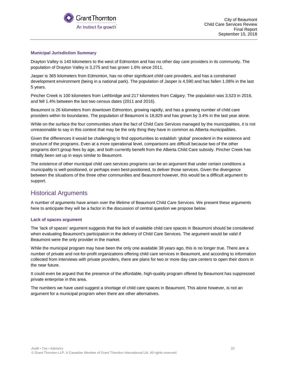

#### **Municipal Jurisdiction Summary**

Drayton Valley is 140 kilometers to the west of Edmonton and has no other day care providers in its community. The population of Drayton Valley is 3,275 and has grown 1.6% since 2011.

Jasper is 365 kilometers from Edmonton, has no other significant child care providers, and has a constrained development environment (being in a national park). The population of Jasper is 4,590 and has fallen 1.08% in the last 5 years.

Pincher Creek is 100 kilometers from Lethbridge and 217 kilometers from Calgary. The population was 3,523 in 2016, and fell 1.4% between the last two census dates (2011 and 2016).

Beaumont is 26 kilometers from downtown Edmonton, growing rapidly, and has a growing number of child care providers within its boundaries. The population of Beaumont is 18,829 and has grown by 3.4% in the last year alone.

While on the surface the four communities share the fact of Child Care Services managed by the municipalities, it is not unreasonable to say in this context that may be the only thing they have in common as Alberta municipalities.

Given the differences it would be challenging to find opportunities to establish 'global' precedent in the existence and structure of the programs. Even at a more operational level, comparisons are difficult because two of the other programs don't group fees by age, and both currently benefit from the Alberta Child Care subsidy. Pincher Creek has initially been set up in ways similar to Beaumont.

The existence of other municipal child care services programs can be an argument that under certain conditions a municipality is well-positioned, or perhaps even best-positioned, to deliver those services. Given the divergence between the situations of the three other communities and Beaumont however, this would be a difficult argument to support.

### <span id="page-21-0"></span>Historical Arguments

A number of arguments have arisen over the lifetime of Beaumont Child Care Services. We present these arguments here to anticipate they will be a factor in the discussion of central question we propose below.

#### **Lack of spaces argument**

The 'lack of spaces' argument suggests that the lack of available child care spaces in Beaumont should be considered when evaluating Beaumont's participation in the delivery of Child Care Services. The argument would be valid if Beaumont were the only provider in the market.

While the municipal program may have been the only one available 38 years ago, this is no longer true. There are a number of private and not-for-profit organizations offering child care services in Beaumont, and according to information collected from interviews with private providers, there are plans for two or more day care centers to open their doors in the near future.

It could even be argued that the presence of the affordable, high-quality program offered by Beaumont has suppressed private enterprise in this area.

The numbers we have used suggest a shortage of child care spaces in Beaumont. This alone however, is not an argument for a municipal program when there are other alternatives.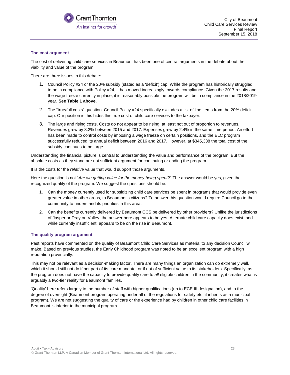

#### **The cost argument**

The cost of delivering child care services in Beaumont has been one of central arguments in the debate about the viability and value of the program.

There are three issues in this debate:

- 1. Council Policy #24 or the 20% subsidy (stated as a 'deficit') cap. While the program has historically struggled to be in compliance with Policy #24, it has moved increasingly towards compliance. Given the 2017 results and the wage freeze currently in place, it is reasonably possible the program will be in compliance in the 2018/2019 year. **See Table 1 above.**
- 2. The "true/full costs" question. Council Policy #24 specifically excludes a list of line items from the 20% deficit cap. Our position is this hides this true cost of child care services to the taxpayer.
- 3. The large and rising costs. Costs do not appear to be rising, at least not out of proportion to revenues. Revenues grew by 8.2% between 2015 and 2017. Expenses grew by 2.4% in the same time period. An effort has been made to control costs by imposing a wage freeze on certain positions, and the ELC program successfully reduced its annual deficit between 2016 and 2017. However, at \$345,338 the total cost of the subsidy continues to be large.

Understanding the financial picture is central to understanding the value and performance of the program. But the absolute costs as they stand are not sufficient argument for continuing or ending the program.

It is the costs for the *relative* value that would support those arguments.

Here the question is not "*Are we getting value for the money being spent*?" The answer would be yes, given the recognized quality of the program. We suggest the questions should be:

- 1. Can the money currently used for subsidizing child care services be spent in programs that would provide even greater value in other areas, to Beaumont's citizens? To answer this question would require Council go to the community to understand its priorities in this area.
- 2. Can the benefits currently delivered by Beaumont CCS be delivered by other providers? Unlike the jurisdictions of Jasper or Drayton Valley, the answer here appears to be yes. Alternate child care capacity does exist, and while currently insufficient, appears to be on the rise in Beaumont.

#### **The quality program argument**

Past reports have commented on the quality of Beaumont Child Care Services as material to any decision Council will make. Based on previous studies, the Early Childhood program was noted to be an excellent program with a high reputation provincially.

This may not be relevant as a decision-making factor. There are many things an organization can do extremely well, which it should still not do if not part of its core mandate, or if not of sufficient value to its stakeholders. Specifically, as the program does not have the capacity to provide quality care to *all* eligible children in the community, it creates what is arguably a two-tier reality for Beaumont families.

'Quality' here refers largely to the number of staff with higher qualifications (up to ECE III designation), and to the degree of oversight (Beaumont program operating under all of the regulations for safety etc. it inherits as a municipal program). We are not suggesting the quality of care or the experience had by children in other child care facilities in Beaumont is inferior to the municipal program.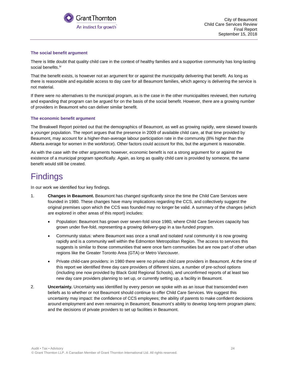

#### **The social benefit argument**

There is little doubt that quality child care in the context of healthy families and a supportive community has long-lasting social benefits.<sup>[iv](#page-49-3)</sup>

That the benefit exists, is however not an argument for or against the municipality delivering that benefit. As long as there is reasonable and equitable access to day care for all Beaumont families, which agency is delivering the service is not material.

If there were no alternatives to the municipal program, as is the case in the other municipalities reviewed, then nurturing and expanding that program can be argued for on the basis of the social benefit. However, there are a growing number of providers in Beaumont who can deliver similar benefit.

#### **The economic benefit argument**

The Breakwell Report pointed out that the demographics of Beaumont, as well as growing rapidly, were skewed towards a younger population. The report argues that the presence in 2009 of available child care, at that time provided by Beaumont, may account for a higher-than-average labour participation rate in the community (8% higher than the Alberta average for women in the workforce). Other factors could account for this, but the argument is reasonable.

As with the case with the other arguments however, economic benefit is not a strong argument for or against the existence of a municipal program specifically. Again, as long as quality child care is provided by someone, the same benefit would still be created.

## <span id="page-23-0"></span>**Findings**

In our work we identified four key findings.

- 1. **Changes in Beaumont.** Beaumont has changed significantly since the time the Child Care Services were founded in 1980. These changes have many implications regarding the CCS, and collectively suggest the original premises upon which the CCS was founded may no longer be valid. A summary of the changes (which are explored in other areas of this report) includes:
	- Population: Beaumont has grown over seven-fold since 1980, where Child Care Services capacity has grown under five-fold, representing a growing delivery-gap in a tax-funded program.
	- Community status: where Beaumont was once a small and isolated rural community it is now growing rapidly and is a community well within the Edmonton Metropolitan Region. The access to services this suggests is similar to those communities that were once farm communities but are now part of other urban regions like the Greater Toronto Area (GTA) or Metro Vancouver.
	- Private child-care providers: in 1980 there were no private child care providers in Beaumont. At the time of this report we identified three day care providers of different sizes, a number of pre-school options (including one now provided by Black Gold Regional Schools), and unconfirmed reports of at least two new day care providers planning to set up, or currently setting up, a facility in Beaumont.
- 2. **Uncertainty.** Uncertainty was identified by every person we spoke with as an issue that transcended even beliefs as to whether or not Beaumont should continue to offer Child Care Services. We suggest this uncertainty may impact: the confidence of CCS employees; the ability of parents to make confident decisions around employment and even remaining in Beaumont; Beaumont's ability to develop long-term program plans; and the decisions of private providers to set up facilities in Beaumont.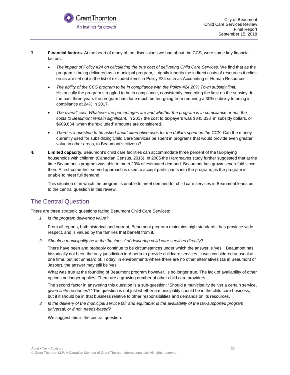

- 3. **Financial factors.** At the heart of many of the discussions we had about the CCS, were some key financial factors:
	- *The impact of Policy #24 on calculating the true cost of delivering Child Care Services.* We find that as the program is being delivered as a municipal program, it rightly inherits the indirect costs of resources it relies on as are set out in the list of excluded items in Policy #24 such as Accounting or Human Resources.
	- *The ability of the CCS program to be in compliance with the Policy #24 20% Town subsidy limit.* Historically the program struggled to be in compliance, consistently exceeding the limit on the subsidy. In the past three years the program has done much better, going from requiring a 30% subsidy to being in compliance at 24% in 2017.
	- *The overall cost. Whatever the percentages are and whether the program is in compliance or not, the costs to Beaumont remain significant.* In 2017 the cost to taxpayers was \$345,338 in subsidy dollars, or \$609,634 when the 'excluded' amounts are considered.
	- *There is a question to be asked about alternative uses for the dollars spent on the CCS.* Can the money currently used for subsidizing Child Care Services be spent in programs that would provide even greater value in other areas, to Beaumont's citizens?
- **4. Limited capacity.** Beaumont's child care facilities can accommodate three percent of the tax-paying households with children (Canadian Census, 2016). In 2005 the Hargreaves study further suggested that at the time Beaumont's program was able to meet 20% of estimated demand. Beaumont has grown seven-fold since then. A first-come-first-served approach is used to accept participants into the program, as the program is unable to meet full demand.

This situation of in which the program is unable to meet demand for child care services in Beaumont leads us to the central question in this review.

### <span id="page-24-0"></span>The Central Question

There are three strategic questions facing Beaumont Child Care Services:

*1. Is the program delivering value?*

From all reports, both historical and current, Beaumont program maintains high standards, has province-wide respect, and is valued by the families that benefit from it.

*2. Should a municipality be in the 'business' of delivering child care services directly?*

There have been and probably continue to be circumstances under which the answer is 'yes'. Beaumont has historically not been the only jurisdiction in Alberta to provide childcare services. It was considered unusual at one time, but not unheard of. Today, in environments where there are no other alternatives (as in Beaumont of Jasper), the answer may still be 'yes'.

What was true at the founding of Beaumont program however, is no longer true. The lack of availability of other options no longer applies. There are a growing number of other child care providers

The second factor in answering this question is a sub-question: "Should a municipality deliver a certain service, *given finite resources*?" The question is not just whether a municipality should be in the child care business, but if it should be in that business relative to other responsibilities and demands on its resources.

*3. Is the delivery of the municipal service fair and equitable; is the availability of the tax-supported program universal, or if not, needs-based?*

We suggest this is the central question.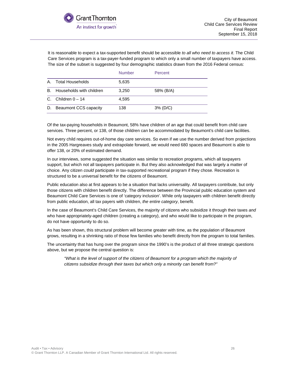

It is reasonable to expect a tax-supported benefit should be accessible *to all who need to access it*. The Child Care Services program is a tax-payer-funded program to which only a small number of taxpayers have access. The size of the subset is suggested by four demographic statistics drawn from the 2016 Federal census:

|    |                          | <b>Number</b> | <b>Percent</b> |
|----|--------------------------|---------------|----------------|
| Α. | Total Households         | 5,635         |                |
| В. | Households with children | 3.250         | 58% (B/A)      |
| C. | Children $0-14$          | 4.595         |                |
| D. | Beaumont CCS capacity    | 138           | $3\%$ (D/C)    |

Of the tax-paying households in Beaumont, 58% have children of an age that could benefit from child care services. Three percent, or 138, of those children can be accommodated by Beaumont's child care facilities.

Not every child requires out-of-home day care services. So even if we use the number derived from projections in the 2005 Hargreaves study and extrapolate forward, we would need 680 spaces and Beaumont is able to offer 138, or 20% of estimated demand.

In our interviews, some suggested the situation was similar to recreation programs, which all taxpayers support, but which not all taxpayers participate in. But they also acknowledged that was largely a matter of choice. Any citizen *could* participate in tax-supported recreational program if they chose. Recreation is structured to be a universal benefit for the citizens of Beaumont.

Public education also at first appears to be a situation that lacks universality. All taxpayers contribute, but only those citizens with children benefit directly. The difference between the Provincial public education system and Beaumont Child Care Services is one of 'category inclusion'. While only taxpayers with children benefit directly from public education, all tax payers with children, *the entire category*, benefit.

In the case of Beaumont's Child Care Services, the majority of citizens who subsidize it through their taxes *and*  who have appropriately-aged children (creating a category), and who would like to participate in the program, do not have opportunity to do so.

As has been shown, this structural problem will become greater with time, as the population of Beaumont grows, resulting in a shrinking ratio of those few families who benefit directly from the program to total families.

<span id="page-25-0"></span>The uncertainty that has hung over the program since the 1990's is the product of all three strategic questions above, but we propose the central question is:

*"What is the level of support of the citizens of Beaumont for a program which the majority of citizens subsidize through their taxes but which only a minority can benefit from?"*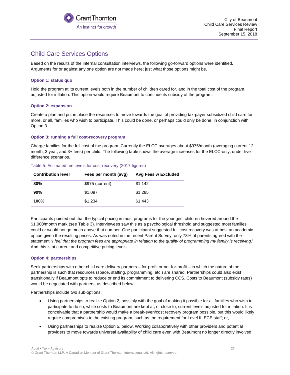

### Child Care Services Options

Based on the results of the internal consultation interviews, the following go-forward options were identified. Arguments for or against any one option are not made here; just what those options might be.

#### **Option 1: status quo**

Hold the program at its current levels both in the number of children cared for, and in the total cost of the program, adjusted for inflation. This option would require Beaumont to continue its subsidy of the program.

#### **Option 2: expansion**

Create a plan and put in place the resources to move towards the goal of providing tax-payer subsidized child care for more, or all, families who wish to participate. This could be done, or perhaps could only be done, in conjunction with Option 3.

#### **Option 3: running a full cost-recovery program**

Charge families for the full cost of the program. Currently the ELCC averages about \$975/month (averaging current 12 month, 3 year, and 3+ fees) per child. The following table shows the average increases for the ELCC-only, under five difference scenarios.

| <b>Contribution level</b> | Fees per month (avg) | <b>Avg Fees w Excluded</b> |
|---------------------------|----------------------|----------------------------|
| 80%                       | \$975 (current)      | \$1,142                    |
| 90%                       | \$1,097              | \$1,285                    |
| 100%                      | \$1,234              | \$1,443                    |

#### Table 5: Estimated fee levels for cost-recovery (2017 figures)

Participants pointed out that the typical pricing in most programs for the youngest children hovered around the \$1,000/month mark (see Table 3). Interviewees saw this as a psychological threshold and suggested most families could or would not go much above that number. One participant suggested full cost recovery was at best an academic option given the resulting prices. As was noted in the recent Parent Survey, only 73% of parents agreed with the statement "*I feel that the program fees are appropriate in relation to the quality of programming my family is receiving*." And this is at current and competitive pricing levels.

#### **Option 4: partnerships**

Seek partnerships with other child care delivery partners – for-profit or not-for-profit – in which the nature of the partnership is such that resources (space, staffing, programming, etc.) are shared. Partnerships could also exist transitionally if Beaumont opts to reduce or end its commitment to delivering CCS. Costs to Beaumont (subsidy rates) would be negotiated with partners, as described below.

Partnerships include two sub-options:

- Using partnerships to realize Option 2, possibly with the goal of making it possible for all families who wish to participate to do so, while costs to Beaumont are kept at, or close to, current levels adjusted for inflation. It is conceivable that a partnership would make a break-even/cost recovery program possible, but this would likely require compromises to the existing program, such as the requirement for Level III ECE staff; or,
- Using partnerships to realize Option 5, below. Working collaboratively with other providers and potential providers to move towards universal availability of child care even with Beaumont no longer directly involved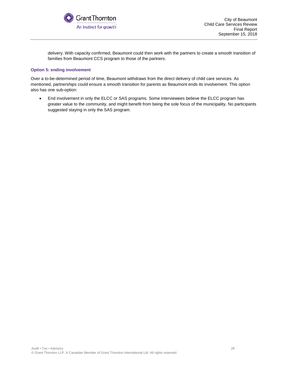

delivery. With capacity confirmed, Beaumont could then work with the partners to create a smooth transition of families from Beaumont CCS program to those of the partners.

#### **Option 5: ending involvement**

Over a to-be-determined period of time, Beaumont withdraws from the direct delivery of child care services. As mentioned, partnerships could ensure a smooth transition for parents as Beaumont ends its involvement. This option also has one sub-option:

<span id="page-27-0"></span>• End involvement in only the ELCC or SAS programs. Some interviewees believe the ELCC program has greater value to the community, and might benefit from being the sole focus of the municipality. No participants suggested staying in only the SAS program.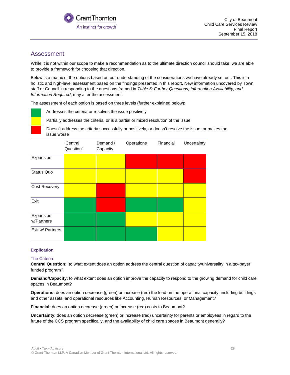

### Assessment

While it is not within our scope to make a recommendation as to the ultimate direction council should take, we are able to provide a framework for choosing that direction.

Below is a matrix of the options based on our understanding of the considerations we have already set out. This is a holistic and high-level assessment based on the findings presented in this report. New information uncovered by Town staff or Council in responding to the questions framed in *Table 5: Further Questions, Information Availability, and Information Required*, may alter the assessment.

The assessment of each option is based on three levels (further explained below):

Addresses the criteria or resolves the issue positively

Partially addresses the criteria, or is a partial or mixed resolution of the issue

Doesn't address the criteria successfully or positively, or doesn't resolve the issue, or makes the issue worse

|                         | 'Central<br>Question' | Demand /<br>Capacity | Operations | Financial | Uncertainty |
|-------------------------|-----------------------|----------------------|------------|-----------|-------------|
| Expansion               |                       |                      |            |           |             |
| Status Quo              |                       |                      |            |           |             |
| Cost Recovery           |                       |                      |            |           |             |
| Exit                    |                       |                      |            |           |             |
| Expansion<br>w/Partners |                       |                      |            |           |             |
| Exit w/ Partners        |                       |                      |            |           |             |

#### **Explication**

#### The Criteria

**Central Question:** to what extent does an option address the central question of capacity/universality in a tax-payer funded program?

**Demand/Capacity:** to what extent does an option improve the capacity to respond to the growing demand for child care spaces in Beaumont?

**Operations:** does an option decrease (green) or increase (red) the load on the operational capacity, including buildings and other assets, and operational resources like Accounting, Human Resources, or Management?

**Financial:** does an option decrease (green) or increase (red) costs to Beaumont?

**Uncertainty:** does an option decrease (green) or increase (red) uncertainty for parents or employees in regard to the future of the CCS program specifically, and the availability of child care spaces in Beaumont generally?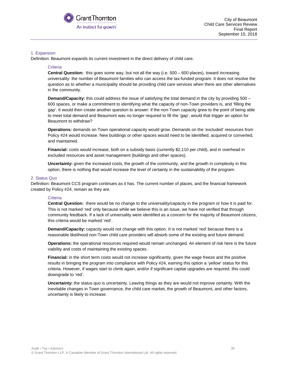

#### 1. Expansion

Definition: Beaumont expands its current investment in the direct delivery of child care.

#### **Criteria**

**Central Question:** this goes some way, but not all the way (i.e. 500 – 600 places), toward increasing universality: the number of Beaumont families who can access the tax-funded program. It does not resolve the question as to whether a municipality should be providing child care services when there are other alternatives in the community.

**Demand/Capacity:** this could address the issue of satisfying the total demand in the city by providing 500 – 600 spaces, or make a commitment to identifying what the capacity of non-Town providers is, and 'filling the gap'. It would then create another question to answer: if the non-Town capacity grew to the point of being able to meet total demand and Beaumont was no longer required to fill the 'gap', would that trigger an option for Beaumont to withdraw?

**Operations:** demands on Town operational capacity would grow. Demands on the 'excluded' resources from Policy #24 would increase. New buildings or other spaces would need to be identified, acquired or converted, and maintained.

**Financial:** costs would increase, both on a subsidy basis (currently \$2,110 per child), and in overhead in excluded resources and asset management (buildings and other spaces).

**Uncertainty:** given the increased costs, the growth of the community, and the growth in complexity in this option, there is nothing that would increase the level of certainty in the sustainability of the program.

#### 2. Status Quo

Definition: Beaumont CCS program continues as it has. The current number of places, and the financial framework created by Policy #24, remain as they are.

#### **Criteria**

**Central Question:** there would be no change to the universality/capacity in the program or how it is paid for. This is not marked 'red' only because while we believe this is an issue, we have not verified that through community feedback. If a lack of universality were identified as a concern for the majority of Beaumont citizens, this criteria would be marked 'red'.

**Demand/Capacity:** capacity would not change with this option. It is not marked 'red' because there is a reasonable likelihood non-Town child care providers will absorb some of the existing and future demand.

**Operations:** the operational resources required would remain unchanged. An element of risk here is the future viability and costs of maintaining the existing spaces.

**Financial:** in the short term costs would not increase significantly, given the wage freeze and the positive results in bringing the program into compliance with Policy #24, earning this option a 'yellow' status for this criteria. However, if wages start to climb again, and/or if significant capital upgrades are required, this could downgrade to 'red'.

**Uncertainty:** the status quo is uncertainty. Leaving things as they are would not improve certainty. With the inevitable changes in Town governance, the child care market, the growth of Beaumont, and other factors, uncertainty is likely to increase.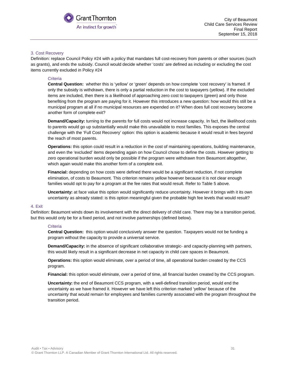

#### 3. Cost Recovery

Definition: replace Council Policy #24 with a policy that mandates full cost-recovery from parents or other sources (such as grants), and ends the subsidy. Council would decide whether 'costs' are defined as including or excluding the cost items currently excluded in Policy #24

#### **Criteria**

**Central Question:** whether this is 'yellow' or 'green' depends on how complete 'cost recovery' is framed. If only the subsidy is withdrawn, there is only a partial reduction in the cost to taxpayers (yellow). If the excluded items are included, then there is a likelihood of approaching zero cost to taxpayers (green) and only those benefiting from the program are paying for it. However this introduces a new question: how would this still be a municipal program at all if no municipal resources are expended on it? When does full cost recovery become another form of complete exit?

**Demand/Capacity:** turning to the parents for full costs would not increase capacity. In fact, the likelihood costs to parents would go up substantially would make this unavailable to most families. This exposes the central challenge with the 'Full Cost Recovery' option: this option is academic because it would result in fees beyond the reach of most parents.

**Operations:** this option could result in a reduction in the cost of maintaining operations, building maintenance, and even the 'excluded' items depending again on how Council chose to define the costs. However getting to zero operational burden would only be possible if the program were withdrawn from Beaumont altogether, which again would make this another form of a complete exit.

**Financial:** depending on how costs were defined there would be a significant reduction, if not complete elimination, of costs to Beaumont. This criterion remains yellow however because it is not clear enough families would opt to pay for a program at the fee rates that would result. Refer to Table 5 above.

**Uncertainty:** at face value this option would significantly reduce uncertainty. However it brings with it its own uncertainty as already stated: is this option meaningful given the probable high fee levels that would result?

#### 4. Exit

Definition: Beaumont winds down its involvement with the direct delivery of child care. There may be a transition period, but this would only be for a fixed period, and not involve partnerships (defined below).

#### **Criteria**

**Central Question:** this option would conclusively answer the question. Taxpayers would not be funding a program without the capacity to provide a universal service.

**Demand/Capacity:** in the absence of significant collaborative strategic- and capacity-planning with partners, this would likely result in a significant decrease in net capacity in child care spaces in Beaumont.

**Operations:** this option would eliminate, over a period of time, all operational burden created by the CCS program.

**Financial:** this option would eliminate, over a period of time, all financial burden created by the CCS program.

**Uncertainty:** the end of Beaumont CCS program, with a well-defined transition period, would end the uncertainty as we have framed it. However we have left this criterion marked 'yellow' because of the uncertainty that would remain for employees and families currently associated with the program throughout the transition period.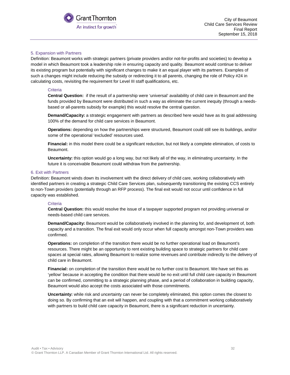

#### 5. Expansion with Partners

Definition: Beaumont works with strategic partners (private providers and/or not-for-profits and societies) to develop a model in which Beaumont took a leadership role in ensuring capacity and quality. Beaumont would continue to deliver its existing program but potentially with significant changes to make it an equal player with its partners. Examples of such a changes might include reducing the subsidy or redirecting it to all parents, changing the role of Policy #24 in calculating costs, revisiting the requirement for Level III staff qualifications, etc.

#### **Criteria**

**Central Question:** if the result of a partnership were 'universal' availability of child care in Beaumont and the funds provided by Beaumont were distributed in such a way as eliminate the current inequity (through a needsbased or all-parents subsidy for example) this would resolve the central question.

**Demand/Capacity:** a strategic engagement with partners as described here would have as its goal addressing 100% of the demand for child care services in Beaumont.

**Operations:** depending on how the partnerships were structured, Beaumont could still see its buildings, and/or some of the operational 'excluded' resources used.

**Financial:** in this model there could be a significant reduction, but not likely a complete elimination, of costs to Beaumont.

**Uncertainty:** this option would go a long way, but not likely all of the way, in eliminating uncertainty. In the future it is conceivable Beaumont could withdraw from the partnership.

#### 6. Exit with Partners

Definition: Beaumont winds down its involvement with the direct delivery of child care, working collaboratively with identified partners in creating a strategic Child Care Services plan, subsequently transitioning the existing CCS entirely to non-Town providers (potentially through an RFP process). The final exit would not occur until confidence in full capacity was established.

#### **Criteria**

**Central Question:** this would resolve the issue of a taxpayer supported program not providing universal or needs-based child care services.

**Demand/Capacity:** Beaumont would be collaboratively involved in the planning for, and development of, both capacity and a transition. The final exit would only occur when full capacity amongst non-Town providers was confirmed.

**Operations:** on completion of the transition there would be no further operational load on Beaumont's resources. There might be an opportunity to rent existing building space to strategic partners for child care spaces at special rates, allowing Beaumont to realize some revenues and contribute indirectly to the delivery of child care in Beaumont.

**Financial:** on completion of the transition there would be no further cost to Beaumont. We have set this as 'yellow' because in accepting the condition that there would be no exit until full child care capacity in Beaumont can be confirmed, committing to a strategic planning phase, and a period of collaboration in building capacity, Beaumont would also accept the costs associated with those commitments.

**Uncertainty:** while risk and uncertainty can never be completely eliminated, this option comes the closest to doing so. By confirming that an exit will happen, and coupling with that a commitment working collaboratively with partners to build child care capacity in Beaumont, there is a significant reduction in uncertainty.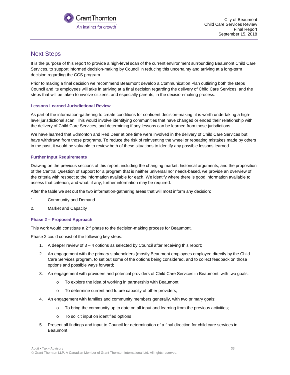

### <span id="page-32-0"></span>Next Steps

It is the purpose of this report to provide a high-level scan of the current environment surrounding Beaumont Child Care Services, to support informed decision-making by Council in reducing this uncertainty and arriving at a long-term decision regarding the CCS program.

Prior to making a final decision we recommend Beaumont develop a Communication Plan outlining both the steps Council and its employees will take in arriving at a final decision regarding the delivery of Child Care Services, and the steps that will be taken to involve citizens, and especially parents, in the decision-making process.

#### **Lessons Learned Jurisdictional Review**

As part of the information-gathering to create conditions for confident decision-making, it is worth undertaking a highlevel jurisdictional scan. This would involve identifying communities that have changed or ended their relationship with the delivery of Child Care Services, and determining if any lessons can be learned from those jurisdictions.

We have learned that Edmonton and Red Deer at one time were involved in the delivery of Child Care Services but have withdrawn from those programs. To reduce the risk of reinventing the wheel or repeating mistakes made by others in the past, it would be valuable to review both of these situations to identify any possible lessons learned.

#### **Further Input Requirements**

Drawing on the previous sections of this report, including the changing market, historical arguments, and the proposition of the Central Question of support for a program that is neither universal nor needs-based, we provide an overview of the criteria with respect to the information available for each. We identify where there is good information available to assess that criterion; and what, if any, further information may be required.

After the table we set out the two information-gathering areas that will most inform any decision:

- 1. Community and Demand
- 2. Market and Capacity

#### **Phase 2 – Proposed Approach**

This work would constitute a 2<sup>nd</sup> phase to the decision-making process for Beaumont.

Phase 2 could consist of the following key steps:

- 1. A deeper review of 3 4 options as selected by Council after receiving this report;
- 2. An engagement with the primary stakeholders (mostly Beaumont employees employed directly by the Child Care Services program, to set out some of the options being considered, and to collect feedback on those options and possible ways forward;
- 3. An engagement with providers and potential providers of Child Care Services in Beaumont, with two goals:
	- o To explore the idea of working in partnership with Beaumont;
	- o To determine current and future capacity of other providers;
- 4. An engagement with families and community members generally, with two primary goals:
	- $\circ$  To bring the community up to date on all input and learning from the previous activities;
	- o To solicit input on identified options
- 5. Present all findings and input to Council for determination of a final direction for child care services in Beaumont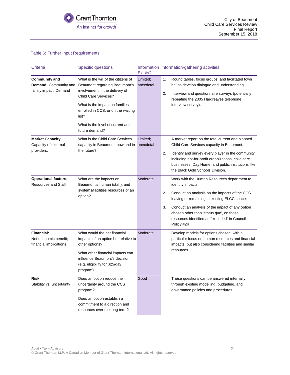

#### Table 6: Further Input Requirements

| Criteria                                                               | <b>Specific questions</b>                                                                                                                                                                                                                                             | Exists?               | Information Information-gathering activities                                                                                                                                                                                                                                                                                                      |
|------------------------------------------------------------------------|-----------------------------------------------------------------------------------------------------------------------------------------------------------------------------------------------------------------------------------------------------------------------|-----------------------|---------------------------------------------------------------------------------------------------------------------------------------------------------------------------------------------------------------------------------------------------------------------------------------------------------------------------------------------------|
| <b>Community and</b><br>Demand: Community and<br>family impact; Demand | What is the will of the citizens of<br>Beaumont regarding Beaumont's<br>involvement in the delivery of<br>Child Care Services?<br>What is the impact on families<br>enrolled in CCS, or on the waiting<br>list?<br>What is the level of current and<br>future demand? | Limited:<br>anecdotal | Round tables, focus groups, and facilitated town<br>1.<br>hall to develop dialogue and understanding.<br>2.<br>Interview and questionnaire surveys (potentially<br>repeating the 2005 Hargreaves telephone<br>interview survey).                                                                                                                  |
| <b>Market Capacity:</b><br>Capacity of external<br>providers;          | What is the Child Care Services<br>capacity in Beaumont, now and in anecdotal<br>the future?                                                                                                                                                                          | Limited;              | A market report on the total current and planned<br>1.<br>Child Care Services capacity in Beaumont.<br>Identify and survey every player in the community<br>2.<br>including not-for-profit organizations, child care<br>businesses, Day Home, and public institutions like<br>the Black Gold Schools Division.                                    |
| <b>Operational factors:</b><br><b>Resources and Staff</b>              | What are the impacts on<br>Beaumont's human (staff), and<br>systems/facilities resources of an<br>option?                                                                                                                                                             | Moderate              | 1.<br>Work with the Human Resources department to<br>identify impacts.<br>2.<br>Conduct an analysis on the impacts of the CCS<br>leaving or remaining in existing ELCC space;<br>3.<br>Conduct an analysis of the impact of any option<br>chosen other than 'status quo', on those<br>resources identified as "excluded" in Council<br>Policy #24 |
| <b>Financial:</b><br>Net economic benefit;<br>financial implications   | What would the net financial<br>impacts of an option be, relative to<br>other options?<br>What other financial impacts can<br>influence Beaumont's decision<br>(e.g. eligibility for \$25/day<br>program)                                                             | Moderate              | Develop models for options chosen, with a<br>particular focus on human resources and financial<br>impacts, but also considering facilities and similar<br>resources.                                                                                                                                                                              |
| Risk:<br>Stability vs. uncertainty                                     | Does an option reduce the<br>uncertainty around the CCS<br>program?<br>Does an option establish a<br>commitment to a direction and<br>resources over the long term?                                                                                                   | Good                  | These questions can be answered internally<br>through existing modelling, budgeting, and<br>governance policies and procedures.                                                                                                                                                                                                                   |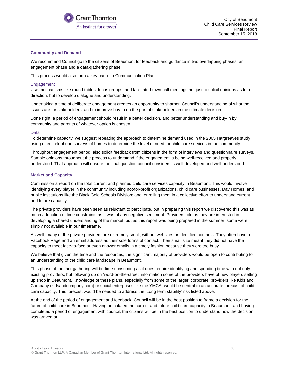

#### **Community and Demand**

We recommend Council go to the citizens of Beaumont for feedback and guidance in two overlapping phases: an engagement phase and a data-gathering phase.

This process would also form a key part of a Communication Plan.

#### Engagement

Use mechanisms like round tables, focus groups, and facilitated town hall meetings not just to solicit opinions as to a direction, but to develop dialogue and understanding.

Undertaking a time of deliberate engagement creates an opportunity to sharpen Council's understanding of what the issues are for stakeholders, and to improve buy-in on the part of stakeholders in the ultimate decision.

Done right, a period of engagement should result in a better decision, and better understanding and buy-in by community and parents of whatever option is chosen.

#### Data

To determine capacity, we suggest repeating the approach to determine demand used in the 2005 Hargreaves study, using direct telephone surveys of homes to determine the level of need for child care services in the community.

Throughout engagement period, also solicit feedback from citizens in the form of interviews and questionnaire surveys. Sample opinions throughout the process to understand if the engagement is being well-received and properly understood. That approach will ensure the final question council considers is well-developed and well-understood.

#### **Market and Capacity**

Commission a report on the total current and planned child care services capacity in Beaumont. This would involve identifying every player in the community including not-for-profit organizations, child care businesses, Day Homes, and public institutions like the Black Gold Schools Division; and, enrolling them in a collective effort to understand current and future capacity.

The private providers have been seen as reluctant to participate, but in preparing this report we discovered this was as much a function of time constraints as it was of any negative sentiment. Providers told us they are interested in developing a shared understanding of the market, but as this report was being prepared in the summer, some were simply not available in our timeframe.

As well, many of the private providers are extremely small, without websites or identified contacts. They often have a Facebook Page and an email address as their sole forms of contact. Their small size meant they did not have the capacity to meet face-to-face or even answer emails in a timely fashion because they were too busy.

We believe that given the time and the resources, the significant majority of providers would be open to contributing to an understanding of the child care landscape in Beaumont.

This phase of the fact-gathering will be time-consuming as it does require identifying and spending time with not only existing providers, but following up on 'word-on-the-street' information some of the providers have of new players setting up shop in Beaumont. Knowledge of these plans, especially from some of the larger 'corporate' providers like Kids and Company (kidsandcompany.com) or social enterprises like the YMCA, would be central to an accurate forecast of child care capacity. This forecast would be needed to address the 'Long term stability' risk listed above.

At the end of the period of engagement and feedback, Council will be in the best position to frame a decision for the future of child care in Beaumont. Having articulated the current and future child care capacity in Beaumont, and having completed a period of engagement with council, the citizens will be in the best position to understand how the decision was arrived at.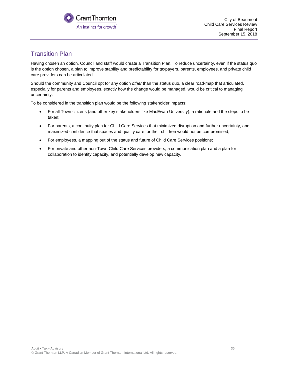

### <span id="page-35-0"></span>Transition Plan

Having chosen an option, Council and staff would create a Transition Plan. To reduce uncertainty, even if the status quo is the option chosen, a plan to improve stability and predictability for taxpayers, parents, employees, and private child care providers can be articulated.

Should the community and Council opt for any option *other* than the status quo, a clear road-map that articulated, especially for parents and employees, exactly how the change would be managed, would be critical to managing uncertainty.

To be considered in the transition plan would be the following stakeholder impacts:

- For all Town citizens (and other key stakeholders like MacEwan University), a rationale and the steps to be taken;
- For parents, a continuity plan for Child Care Services that minimized disruption and further uncertainty, and maximized confidence that spaces and quality care for their children would not be compromised;
- For employees, a mapping out of the status and future of Child Care Services positions;
- For private and other non-Town Child Care Services providers, a communication plan and a plan for collaboration to identify capacity, and potentially develop new capacity.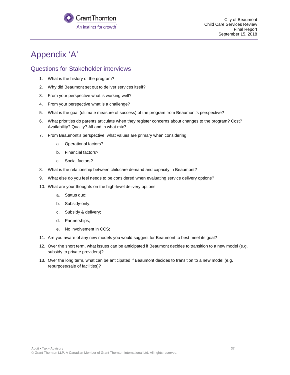

## <span id="page-36-0"></span>Appendix 'A'

### <span id="page-36-1"></span>Questions for Stakeholder interviews

- 1. What is the history of the program?
- 2. Why did Beaumont set out to deliver services itself?
- 3. From your perspective what is working well?
- 4. From your perspective what is a challenge?
- 5. What is the goal (ultimate measure of success) of the program from Beaumont's perspective?
- 6. What priorities do parents articulate when they register concerns about changes to the program? Cost? Availability? Quality? All and in what mix?
- 7. From Beaumont's perspective, what values are primary when considering:
	- a. Operational factors?
	- b. Financial factors?
	- c. Social factors?
- 8. What is the relationship between childcare demand and capacity in Beaumont?
- 9. What else do you feel needs to be considered when evaluating service delivery options?
- 10. What are your thoughts on the high-level delivery options:
	- a. Status quo;
	- b. Subsidy-only;
	- c. Subsidy & delivery;
	- d. Partnerships;
	- e. No involvement in CCS;
- 11. Are you aware of any new models you would suggest for Beaumont to best meet its goal?
- 12. Over the short term, what issues can be anticipated if Beaumont decides to transition to a new model (e.g. subsidy to private providers)?
- 13. Over the long term, what can be anticipated if Beaumont decides to transition to a new model (e.g. repurpose/sale of facilities)?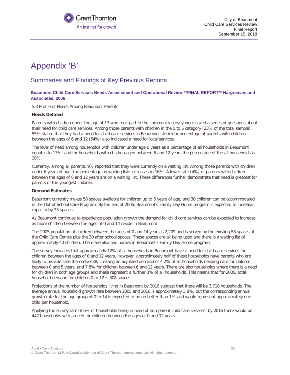

City of Beaumont Child Care Services Review Final Report September 15, 2018

## <span id="page-37-0"></span>Appendix 'B'

### <span id="page-37-1"></span>Summaries and Findings of Key Previous Reports

#### **Beaumont Child Care Services Needs Assessment and Operational Review \*\*FINAL REPORT\*\* Hargreaves and Associates, 2006**

5.3 Profile of Needs Among Beaumont Parents

#### **Needs Defined**

Parents with children under the age of 13 who took part in the community survey were asked a series of questions about their need for child care services. Among those parents with children in the 0 to 5 category (23% of the total sample), 55% stated that they had a need for child care services in Beaumont. A similar percentage of parents with children between the ages of 6 and 12 (54%) also indicated a need for local services.

The level of need among households with children under age 6 years as a percentage of all households in Beaumont equates to 13%, and for households with children aged between 6 and 12 years the percentage of the all households is 18%.

Currently, among all parents, 9% reported that they were currently on a waiting list. Among those parents with children under 6 years of age, the percentage on waiting lists increases to 16%. A lower rate (4%) of parents with children between the ages of 6 and 12 years are on a waiting list. These differences further demonstrate that need is greatest for parents of the youngest children.

#### **Demand Estimates**

Beaumont currently makes 58 spaces available for children up to 6 years of age, and 30 children can be accommodated in the Out of School Care Program. By the end of 2006, Beaumont's Family Day Home program is expected to increase capacity by 35 spaces.

As Beaumont continues to experience population growth the demand for child care services can be expected to increase as more children between the ages of 0 and 14 reside in Beaumont

The 2005 population of children between the ages of 0 and 14 years is 2,209 and is served by the existing 58 spaces at the Child Care Centre plus the 30 after school spaces. These spaces are all being used and there is a waiting list of approximately 40 children. There are also two homes in Beaumont's Family Day Home program.

The survey indicates that approximately 12% of all households in Beaumont have a need for child care services for children between the ages of 0 and 12 years. However, approximately half of these households have parents who are likely to provide care themselves38, creating an adjusted demand of 4.2% of all households needing care for children between 0 and 5 years, and 7.8% for children between 6 and 12 years. There are also households where there is a need for children in both age groups and these represent a further 3% of all households. This means that for 2005, total household demand for children 0 to 12 is 308 spaces.

Projections of the number of households living in Beaumont by 2016 suggest that there will be 3,718 households. The average annual household growth rate between 2005 and 2016 is approximately 3.8%, but the corresponding annual growth rate for the age group of 0 to 14 is expected to be no better than 1% and would represent approximately one child per household.

Applying the survey rate of 6% of households being in need of non-parent child care services, by 2016 there would be 447 households with a need for children between the ages of 0 and 12 years.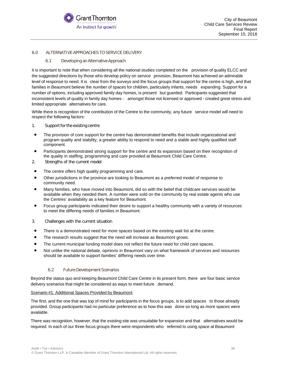

#### 6.0 ALTERNATIVE APPROACHES TO SERVICE DELIVERY

#### 6.1 Developing an Alternative Approach

It is important to note that when considering all the national studies completed on the provision of quality ELCC and the suggested directions by those who develop policy on service provision, Beaumont has achieved an admirable level of response to need. It is clear from the surveys and the focus groups that support for the centre is high, and that families in Beaumont believe the number of spaces for children, particularly infants, needs expanding. Support for a number of options, including approved family day homes, is present but guarded. Participants suggested that inconsistent levels of quality in family day homes - amongst those not licensed or approved - created great stress and limited appropriate alternatives for care.

While there is recognition of the contribution of the Centre to the community, any future service model will need to respect the following factors:

- 1. Support for the existing centre
- The provision of core support for the centre has demonstrated benefits that include organizational and program quality and stability, a greater ability to respond to need and a stable and highly qualified staff component.
- Participants demonstrated strong support for the centre and its expansion based on their recognition of the quality in staffing, programming and care provided at Beaumont Child Care Centre.
- 2. Strengths of the current model
- The centre offers high quality programming and care.
- Other jurisdictions in the province are looking to Beaumont as a preferred model of response to community need.
- Many families, who have moved into Beaumont, did so with the belief that childcare services would be available when they needed them. A number were sold on the community by real estate agents who use the Centres' availability as a key feature for Beaumont.
- Focus group participants indicated their desire to support a healthy community with a variety of resources to meet the differing needs of families in Beaumont.
- 3. Challenges with the current situation
- There is a demonstrated need for more spaces based on the existing wait list at the centre.
- The research results suggest that the need will increase as Beaumont grows.
- The current municipal funding model does not reflect the future need for child care spaces.
- Not unlike the national debate, opinions in Beaumont vary on what framework of services and resources should be available to support families' differing needs over time.

#### 6.2 Future Development Scenarios

Beyond the status quo and keeping Beaumont Child Care Centre in its present form, there are four basic service delivery scenarios that might be considered as ways to meet future demand.

#### Scenario #1: Additional Spaces Provided by Beaumont

The first, and the one that was top of mind for participants in the focus groups, is to add spaces to those already provided. Group participants had no particular preference as to how this was done so long as more spaces were available.

There was recognition, however, that the existing site was unsuitable for expansion and that alternatives would be required. In each of our three focus groups there were respondents who referred to using space at Beaumont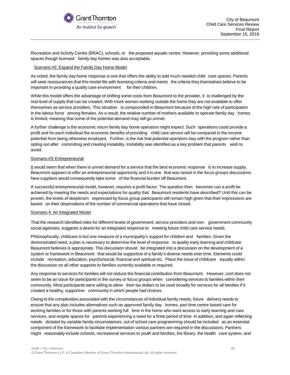

Recreation and Activity Centre (BRAC), schools, or the proposed aquatic centre. However, providing some additional spaces though licensed family day homes was also acceptable.

#### Scenario #2: Expand the Family Day Home Model

As noted, the family day home response is one that offers the ability to add much needed child care spaces. Parents will seek reassurances that this model fits with licensing criteria and meets the criteria they themselves believe to be important in providing a quality care environment for their children.

While this model offers the advantage of shifting some costs from Beaumont to the provider, it is challenged by the real level of supply that can be created. With more women working outside the home they are not available to offer themselves as service providers. This situation is compounded in Beaumont because of the high rate of participation in the labour force among females. As a result, the relative number of mothers available to operate family day homes is limited, meaning that some of the potential demand may still go unmet.

A further challenge is the economic return family day home operators might expect. Such operations could provide a profit and for each individual the economic benefits of providing child care service will be compared to the income potential from being otherwise employed. Further, is the risk that potential operators stay with the program rather than opting out after committing and creating instability. Instability was identified as a key problem that parents wish to avoid.

#### Scenario #3: Entrepreneurial

It would seem that when there is unmet demand for a service that the best economic response is to increase supply. Beaumont appears to offer an entrepreneurial opportunity and it is one that was raised in the focus groups discussions. New suppliers would consequently take some of the financial burden off Beaumont.

A successful entrepreneurial model, however, requires a profit factor. The question then becomes can a profit be achieved by meeting the needs and expectations for quality that Beaumont residents have described? Until this can be proven, the levels of skepticism expressed by focus group participants will remain high given that their impressions are based on their observations of the number of commercial operations that have closed.

#### Scenario 4: An Integrated Model

That the research identified roles for different levels of government, service providers and non- government community social agencies, suggests a desire for an integrated response to meeting future child care service needs.

Philosophically, childcare is but one measure of a municipality's support for children and families. Given the demonstrated need, a plan is necessary to determine the level of response to quality early learning and childcare Beaumont believes is appropriate. This discussion should be integrated into a discussion on the development of a system or framework in Beaumont that would be supportive of a family's diverse needs over time. Elements could include recreation, education, psycho/social, financial and spiritual etc. Place the issue of childcare equally within the discussion on all other supports to families currently available or required.

Any response to services for families will not reduce the financial contribution from Beaumont. However, cost does not seem to be an issue for participants in the survey or focus groups when considering services to families within their community. Most participants were willing to allow their tax dollars to be used broadly for services for all families if it created a healthy, supportive community in which people had choices.

Owing to the complexities associated with the circumstances of individual family needs, future delivery needs to ensure that any plan includes alternatives such as approved family day homes, part time centre based care for working families or for those with parents working full time in the home who want access to early learning and care services, and respite spaces for parents experiencing a need for a finite period of time. In addition, and again reflecting needs dictated by variable family circumstances, out of school care programming should be included as an essential component of the framework to facilitate implementation various partners are required in the discussions. Partners might reasonably include schools, recreational services to youth and families, the library, the health care system, and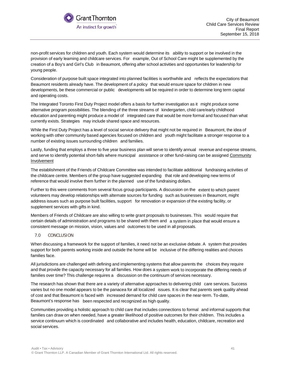

non-profit services for children and youth. Each system would determine its ability to support or be involved in the provision of early learning and childcare services. For example, Out of School Care might be supplemented by the creation of a Boy's and Girl's Club in Beaumont, offering after school activities and opportunities for leadership for young people.

Consideration of purpose built space integrated into planned facilities is worthwhile and reflects the expectations that Beaumont residents already have. The development of a policy that would ensure space for children in new developments, be these commercial or public developments will be required in order to determine long term capital and operating costs.

The Integrated Toronto First Duty Project model offers a basis for further investigation as it might produce some alternative program possibilities. The blending of the three streams of kindergarten, child care/early childhood education and parenting might produce a model of integrated care that would be more formal and focused than what currently exists. Strategies may include shared space and resources.

While the First Duty Project has a level of social service delivery that might not be required in Beaumont, the idea of working with other community based agencies focused on children and youth might facilitate a stronger response to a number of existing issues surrounding children and families.

Lastly, funding that employs a three to five year business plan will serve to identify annual revenue and expense streams, and serve to identify potential short-falls where municipal assistance or other fund-raising can be assigned Community Involvement

The establishment of the Friends of Childcare Committee was intended to facilitate additional fundraising activities of the childcare centre. Members of the group have suggested expanding that role and developing new terms of reference that would involve them further in the planned use of the fundraising dollars.

Further to this were comments from several focus group participants. A discussion on the extent to which parent volunteers may develop relationships with alternate sources for funding such as businesses in Beaumont, might address issues such as purpose built facilities, support for renovation or expansion of the existing facility, or supplement services with gifts in kind.

Members of Friends of Childcare are also willing to write grant proposals to businesses. This would require that certain details of administration and programs to be shared with them and a system in place that would ensure a consistent message on mission, vision, values and outcomes to be used in all proposals.

#### 7.0 CONCLUSION

When discussing a framework for the support of families, it need not be an exclusive debate. A system that provides support for both parents working inside and outside the home will be inclusive of the differing realities and choices families face.

All jurisdictions are challenged with defining and implementing systems that allow parents the choices they require and that provide the capacity necessary for all families. How does a system work to incorporate the differing needs of families over time? This challenge requires a discussion on the continuum of services necessary.

The research has shown that there are a variety of alternative approaches to delivering child care services. Success varies but no one model appears to be the panacea for all localized issues. It is clear that parents seek quality ahead of cost and that Beaumont is faced with increased demand for child care spaces in the near-term. To-date, Beaumont's response has been respected and recognized as high quality.

Communities providing a holistic approach to child care that includes connections to formal and informal supports that families can draw on when needed, have a greater likelihood of positive outcomes for their children. This includes a service continuum which is coordinated and collaborative and includes health, education, childcare, recreation and social services.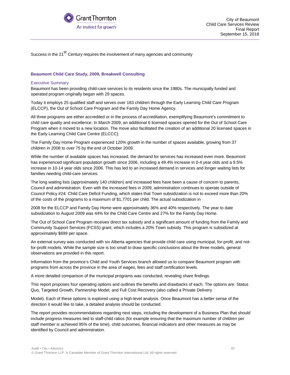

Success in the 21<sup>st</sup> Century requires the involvement of many agencies and community

#### **Beaumont Child Care Study, 2009, Breakwell Consulting**

#### Executive Summary

Beaumont has been providing child-care services to its residents since the 1980s. The municipally funded and operated program originally began with 29 spaces.

Today it employs 25 qualified staff and serves over 183 children through the Early Learning Child Care Program (ELCCP), the Out of School Care Program and the Family Day Home Agency.

All three programs are either accredited or in the process of accreditation, exemplifying Beaumont's commitment to child care quality and excellence. In March 2009, an additional 6 licensed spaces opened for the Out of School Care Program when it moved to a new location. The move also facilitated the creation of an additional 20 licensed spaces in the Early Learning Child Care Centre (ELCCC).

The Family Day Home Program experienced 120% growth in the number of spaces available, growing from 37 children in 2008 to over 75 by the end of October 2009.

While the number of available spaces has increased, the demand for services has increased even more. Beaumont has experienced significant population growth since 2006, including a 49.4% increase in 0-4 year olds and a 9.5% increase in 10-14 year olds since 2006. This has led to an increased demand in services and longer waiting lists for families needing child-care services.

The long waiting lists (approximately 140 children) and increased fees have been a cause of concern to parents, Council and administration. Even with the increased fees in 2009, administration continues to operate outside of Council Policy #24: Child Care Deficit Funding, which states that Town subsidization is not to exceed more than 20% of the costs of the programs to a maximum of \$1,7701 per child. The actual subsidization in

2008 for the ELCCP and Family Day Home were approximately 36% and 40% respectively. The year to date subsidization to August 2009 was 44% for the Child Care Centre and 27% for the Family Day Home.

The Out of School Care Program receives direct tax subsidy and a significant amount of funding from the Family and Community Support Services (FCSS) grant, which includes a 20% Town subsidy. This program is subsidized at approximately \$699 per space.

An external survey was conducted with six Alberta agencies that provide child care using municipal, for-profit, and notfor-profit models. While the sample size is too small to draw specific conclusions about the three models, general observations are provided in this report.

Information from the province's Child and Youth Services branch allowed us to compare Beaumont program with programs from across the province in the area of wages, fees and staff certification levels.

A more detailed comparison of the municipal programs was conducted, revealing share findings.

This report proposes four operating options and outlines the benefits and drawbacks of each. The options are: Status Quo, Targeted Growth, Partnership Model, and Full Cost Recovery (also called a Private Delivery

Model). Each of these options is explored using a high-level analysis. Once Beaumont has a better sense of the direction it would like to take, a detailed analysis should be conducted.

The report provides recommendations regarding next steps, including the development of a Business Plan that should include progress measures tied to staff-child ratios (for example ensuring that the maximum number of children per staff member is achieved 95% of the time), child outcomes, financial indicators and other measures as may be identified by Council and administration.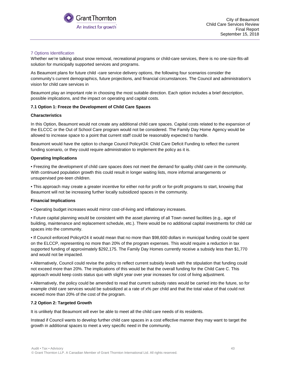

#### 7 Options Identification

Whether we're talking about snow removal, recreational programs or child-care services, there is no one-size-fits-all solution for municipally supported services and programs.

As Beaumont plans for future child -care service delivery options, the following four scenarios consider the community's current demographics, future projections, and financial circumstances. The Council and administration's vision for child care services in

Beaumont play an important role in choosing the most suitable direction. Each option includes a brief description, possible implications, and the impact on operating and capital costs.

#### **7.1 Option 1: Freeze the Development of Child Care Spaces**

#### **Characteristics**

In this Option, Beaumont would not create any additional child care spaces. Capital costs related to the expansion of the ELCCC or the Out of School Care program would not be considered. The Family Day Home Agency would be allowed to increase space to a point that current staff could be reasonably expected to handle.

Beaumont would have the option to change Council Policy#24: Child Care Deficit Funding to reflect the current funding scenario, or they could require administration to implement the policy as it is.

#### **Operating Implications**

• Freezing the development of child care spaces does not meet the demand for quality child care in the community. With continued population growth this could result in longer waiting lists, more informal arrangements or unsupervised pre-teen children.

• This approach may create a greater incentive for either not-for profit or for-profit programs to start, knowing that Beaumont will not be increasing further locally subsidized spaces in the community.

#### **Financial Implications**

• Operating budget increases would mirror cost-of-living and inflationary increases.

• Future capital planning would be consistent with the asset planning of all Town owned facilities (e.g., age of building, maintenance and replacement schedule, etc.). There would be no additional capital investments for child car spaces into the community.

• If Council enforced Policy#24 it would mean that no more than \$98,600 dollars in municipal funding could be spent on the ELCCP, representing no more than 20% of the program expenses. This would require a reduction in tax supported funding of approximately \$292,175. The Family Day Homes currently receive a subsidy less than \$1,770 and would not be impacted.

• Alternatively, Council could revise the policy to reflect current subsidy levels with the stipulation that funding could not exceed more than 20%. The implications of this would be that the overall funding for the Child Care C. This approach would keep costs status quo with slight year over year increases for cost of living adjustment.

• Alternatively, the policy could be amended to read that current subsidy rates would be carried into the future, so for example child care services would be subsidized at a rate of x% per child and that the total value of that could not exceed more than 20% of the cost of the program.

#### **7.2 Option 2: Targeted Growth**

It is unlikely that Beaumont will ever be able to meet all the child care needs of its residents.

Instead if Council wants to develop further child care spaces in a cost effective manner they may want to target the growth in additional spaces to meet a very specific need in the community.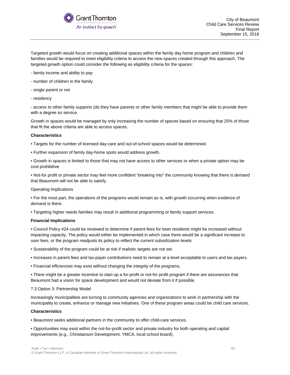

Targeted growth would focus on creating additional spaces within the family day home program and children and families would be required to meet eligibility criteria to access the new spaces created through this approach. The targeted growth option could consider the following as eligibility criteria for the spaces:

- family income and ability to pay
- number of children in the family
- single parent or not
- residency

- access to other family supports (do they have parents or other family members that might be able to provide them with a degree so service.

Growth in spaces would be managed by only increasing the number of spaces based on ensuring that 25% of those that fit the above criteria are able to access spaces.

#### **Characteristics**

- Targets for the number of licensed day-care and out-of-school spaces would be determined.
- Further expansion of family day-home spots would address growth.
- Growth in spaces is limited to those that may not have access to other services or when a private option may be cost prohibitive

• Not-for profit or private sector may feel more confident "breaking into" the community knowing that there is demand that Beaumont will not be able to satisfy.

Operating Implications

• For the most part, the operations of the programs would remain as is, with growth occurring when evidence of demand is there.

• Targeting higher needs families may result in additional programming or family support services.

#### **Financial Implications**

• Council Policy #24 could be reviewed to determine if parent fees for town residents might be increased without impacting capacity. The policy would either be implemented in which case there would be a significant increase to user fees, or the program readjusts its policy to reflect the current subsidization levels

- Sustainability of the program could be at risk if realistic targets are not set.
- Increases in parent fees and tax-payer contributions need to remain at a level acceptable to users and tax payers.
- Financial efficiencies may exist without changing the integrity of the programs.

• There might be a greater incentive to start up a for-profit or not-for profit program if there are assurances that Beaumont had a vision for space development and would not deviate from it if possible.

#### 7.3 Option 3: Partnership Model

Increasingly municipalities are turning to community agencies and organizations to work in partnership with the municipality to create, enhance or manage new initiatives. One of these program areas could be child care services.

#### **Characteristics**

• Beaumont seeks additional partners in the community to offer child-care services.

• Opportunities may exist within the not-for-profit sector and private industry for both operating and capital improvements (e.g., Christianson Development, YMCA, local school board).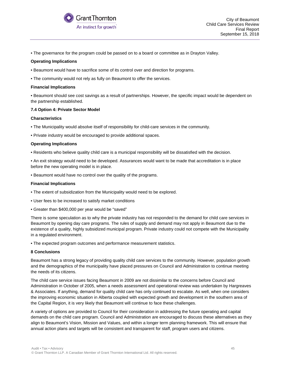

• The governance for the program could be passed on to a board or committee as in Drayton Valley.

#### **Operating Implications**

- Beaumont would have to sacrifice some of its control over and direction for programs.
- The community would not rely as fully on Beaumont to offer the services.

#### **Financial Implications**

• Beaumont should see cost savings as a result of partnerships. However, the specific impact would be dependent on the partnership established.

#### **7.4 Option 4: Private Sector Model**

#### **Characteristics**

• The Municipality would absolve itself of responsibility for child-care services in the community.

• Private industry would be encouraged to provide additional spaces.

#### **Operating Implications**

• Residents who believe quality child care is a municipal responsibility will be dissatisfied with the decision.

• An exit strategy would need to be developed. Assurances would want to be made that accreditation is in place before the new operating model is in place.

• Beaumont would have no control over the quality of the programs.

#### **Financial Implications**

- The extent of subsidization from the Municipality would need to be explored.
- User fees to be increased to satisfy market conditions
- Greater than \$400,000 per year would be "saved"

There is some speculation as to why the private industry has not responded to the demand for child care services in Beaumont by opening day care programs. The rules of supply and demand may not apply in Beaumont due to the existence of a quality, highly subsidized municipal program. Private industry could not compete with the Municipality in a regulated environment.

• The expected program outcomes and performance measurement statistics.

#### **8 Conclusions**

Beaumont has a strong legacy of providing quality child care services to the community. However, population growth and the demographics of the municipality have placed pressures on Council and Administration to continue meeting the needs of its citizens.

The child care service issues facing Beaumont in 2009 are not dissimilar to the concerns before Council and Administration in October of 2005, when a needs assessment and operational review was undertaken by Hargreaves & Associates. If anything, demand for quality child care has only continued to escalate. As well, when one considers the improving economic situation in Alberta coupled with expected growth and development in the southern area of the Capital Region, it is very likely that Beaumont will continue to face these challenges.

A variety of options are provided to Council for their consideration in addressing the future operating and capital demands on the child care program. Council and Administration are encouraged to discuss these alternatives as they align to Beaumont's Vision, Mission and Values, and within a longer term planning framework. This will ensure that annual action plans and targets will be consistent and transparent for staff, program users and citizens.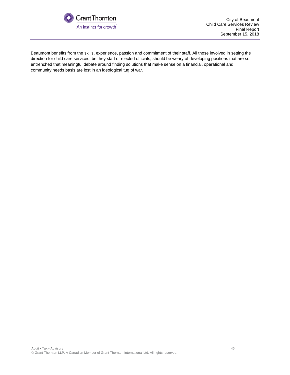

Beaumont benefits from the skills, experience, passion and commitment of their staff. All those involved in setting the direction for child care services, be they staff or elected officials, should be weary of developing positions that are so entrenched that meaningful debate around finding solutions that make sense on a financial, operational and community needs basis are lost in an ideological tug of war.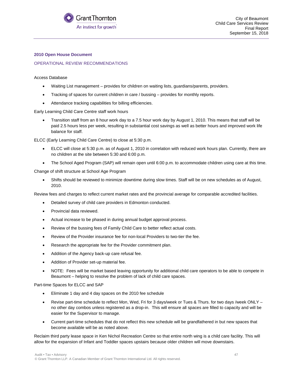

#### **2010 Open House Document**

#### OPERATIONAL REVIEW RECOMMENDATIONS

#### Access Database

- Waiting List management provides for children on waiting lists, guardians/parents, providers.
- Tracking of spaces for current children in care / bussing provides for monthly reports.
- Attendance tracking capabilities for billing efficiencies.

Early Learning Child Care Centre staff work hours

• Transition staff from an 8 hour work day to a 7.5 hour work day by August 1, 2010. This means that staff will be paid 2.5 hours less per week, resulting in substantial cost savings as well as better hours and improved work life balance for staff.

ELCC (Early Learning Child Care Centre) to close at 5:30 p.m.

- ELCC will close at 5:30 p.m. as of August 1, 2010 in correlation with reduced work hours plan. Currently, there are no children at the site between 5:30 and 6:00 p.m.
- The School Aged Program (SAP) will remain open until 6:00 p.m. to accommodate children using care at this time.

Change of shift structure at School Age Program

• Shifts should be reviewed to minimize downtime during slow times. Staff will be on new schedules as of August, 2010.

Review fees and charges to reflect current market rates and the provincial average for comparable accredited facilities.

- Detailed survey of child care providers in Edmonton conducted.
- Provincial data reviewed.
- Actual increase to be phased in during annual budget approval process.
- Review of the bussing fees of Family Child Care to better reflect actual costs.
- Review of the Provider insurance fee for non-local Providers to two-tier the fee.
- Research the appropriate fee for the Provider commitment plan.
- Addition of the Agency back-up care refusal fee.
- Addition of Provider set-up material fee.
- NOTE: Fees will be market based leaving opportunity for additional child care operators to be able to compete in Beaumont – helping to resolve the problem of lack of child care spaces.

#### Part-time Spaces for ELCC and SAP

- Eliminate 1 day and 4 day spaces on the 2010 fee schedule
- Revise part-time schedule to reflect Mon, Wed, Fri for 3 days/week or Tues & Thurs. for two days /week ONLY no other day combos unless registered as a drop-in. This will ensure all spaces are filled to capacity and will be easier for the Supervisor to manage.
- Current part-time schedules that do not reflect this new schedule will be grandfathered in but new spaces that become available will be as noted above.

Reclaim third party lease space in Ken Nichol Recreation Centre so that entire north wing is a child care facility. This will allow for the expansion of Infant and Toddler spaces upstairs because older children will move downstairs.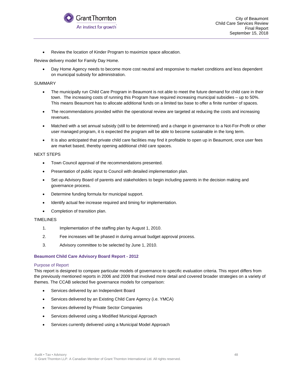

• Review the location of Kinder Program to maximize space allocation.

Review delivery model for Family Day Home.

• Day Home Agency needs to become more cost neutral and responsive to market conditions and less dependent on municipal subsidy for administration.

#### SUMMARY

- The municipally run Child Care Program in Beaumont is not able to meet the future demand for child care in their town. The increasing costs of running this Program have required increasing municipal subsidies – up to 50%. This means Beaumont has to allocate additional funds on a limited tax base to offer a finite number of spaces.
- The recommendations provided within the operational review are targeted at reducing the costs and increasing revenues.
- Matched with a set annual subsidy (still to be determined) and a change in governance to a Not-For-Profit or other user managed program, it is expected the program will be able to become sustainable in the long term.
- It is also anticipated that private child care facilities may find it profitable to open up in Beaumont, once user fees are market based, thereby opening additional child care spaces.

#### NEXT STEPS

- Town Council approval of the recommendations presented.
- Presentation of public input to Council with detailed implementation plan.
- Set up Advisory Board of parents and stakeholders to begin including parents in the decision making and governance process.
- Determine funding formula for municipal support.
- Identify actual fee increase required and timing for implementation.
- Completion of transition plan.

#### TIMELINES

- 1. Implementation of the staffing plan by August 1, 2010.
- 2. Fee increases will be phased in during annual budget approval process.
- 3. Advisory committee to be selected by June 1, 2010.

#### **Beaumont Child Care Advisory Board Report - 2012**

#### Purpose of Report

This report is designed to compare particular models of governance to specific evaluation criteria. This report differs from the previously mentioned reports in 2006 and 2009 that involved more detail and covered broader strategies on a variety of themes. The CCAB selected five governance models for comparison:

- Services delivered by an Independent Board
- Services delivered by an Existing Child Care Agency (i.e. YMCA)
- Services delivered by Private Sector Companies
- Services delivered using a Modified Municipal Approach
- Services currently delivered using a Municipal Model Approach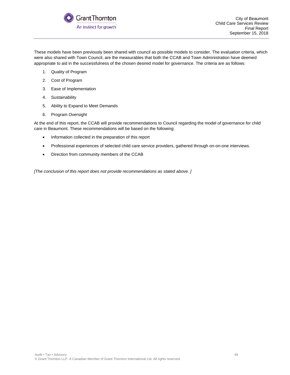

These models have been previously been shared with council as possible models to consider. The evaluation criteria, which were also shared with Town Council, are the measurables that both the CCAB and Town Administration have deemed appropriate to aid in the successfulness of the chosen desired model for governance. The criteria are as follows:

- 1. Quality of Program
- 2. Cost of Program
- 3. Ease of Implementation
- 4. Sustainability
- 5. Ability to Expand to Meet Demands
- 6. Program Oversight

At the end of this report, the CCAB will provide recommendations to Council regarding the model of governance for child care in Beaumont. These recommendations will be based on the following:

- Information collected in the preparation of this report
- Professional experiences of selected child care service providers, gathered through on-on-one interviews.
- Direction from community members of the CCAB

*[The conclusion of this report does not provide recommendations as stated above. ]*